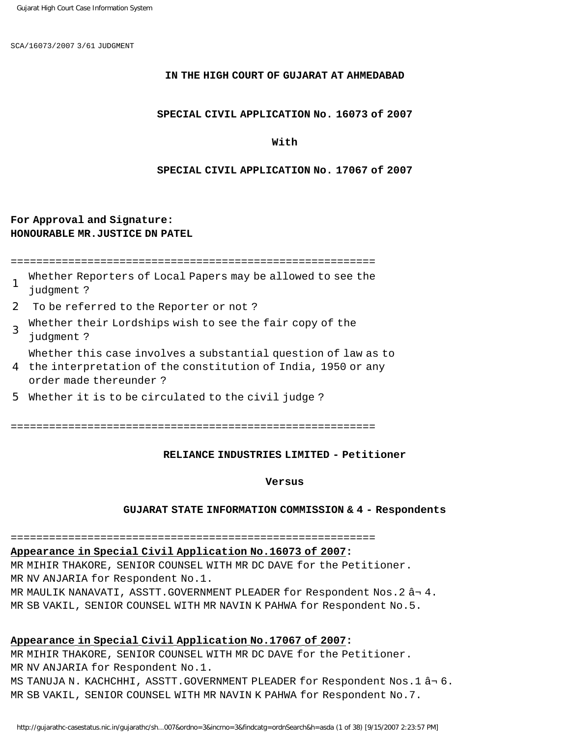SCA/16073/2007 3/61 JUDGMENT

### **IN THE HIGH COURT OF GUJARAT AT AHMEDABAD**

### **SPECIAL CIVIL APPLICATION No. 16073 of 2007**

### **With**

### **SPECIAL CIVIL APPLICATION No. 17067 of 2007**

## **For Approval and Signature: HONOURABLE MR.JUSTICE DN PATEL**

=========================================================

- 1 Whether Reporters of Local Papers may be allowed to see the judgment ?
- 2 To be referred to the Reporter or not ?
- 3 Whether their Lordships wish to see the fair copy of the judgment ?
- Whether this case involves a substantial question of law as to
- 4 the interpretation of the constitution of India, 1950 or any order made thereunder ?
- 5 Whether it is to be circulated to the civil judge ?

=========================================================

### **RELIANCE INDUSTRIES LIMITED - Petitioner**

### **Versus**

### **GUJARAT STATE INFORMATION COMMISSION & 4 - Respondents**

## =========================================================

## **Appearance in Special Civil Application No.16073 of 2007:**

MR MIHIR THAKORE, SENIOR COUNSEL WITH MR DC DAVE for the Petitioner. MR NV ANJARIA for Respondent No.1. MR MAULIK NANAVATI, ASSTT. GOVERNMENT PLEADER for Respondent Nos. 2  $\hat{a}$  - 4. MR SB VAKIL, SENIOR COUNSEL WITH MR NAVIN K PAHWA for Respondent No.5.

### **Appearance in Special Civil Application No.17067 of 2007:**

MR MIHIR THAKORE, SENIOR COUNSEL WITH MR DC DAVE for the Petitioner. MR NV ANJARIA for Respondent No.1. MS TANUJA N. KACHCHHI, ASSTT. GOVERNMENT PLEADER for Respondent Nos. 1 â-6. MR SB VAKIL, SENIOR COUNSEL WITH MR NAVIN K PAHWA for Respondent No.7.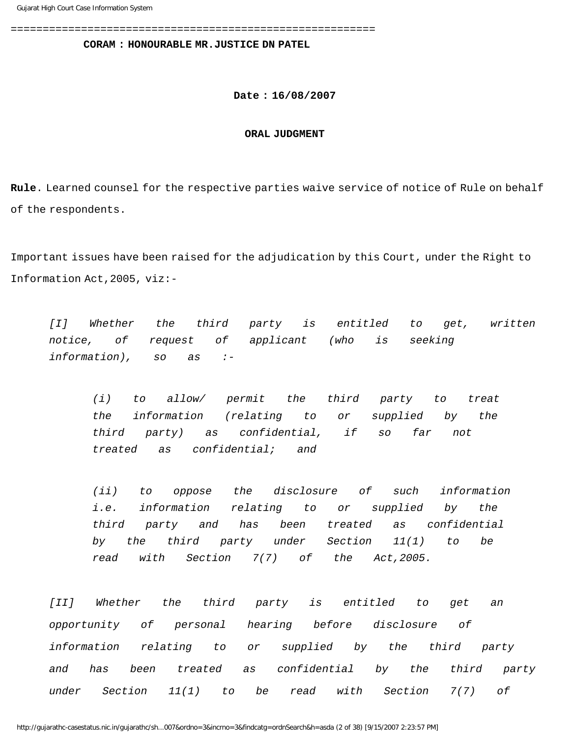=========================================================

**CORAM : HONOURABLE MR.JUSTICE DN PATEL**

**Date : 16/08/2007**

### **ORAL JUDGMENT**

**Rule**. Learned counsel for the respective parties waive service of notice of Rule on behalf of the respondents.

Important issues have been raised for the adjudication by this Court, under the Right to Information Act,2005, viz:-

[I] Whether the third party is entitled to get, written notice, of request of applicant (who is seeking information), so as :-

(i) to allow/ permit the third party to treat the information (relating to or supplied by the third party) as confidential, if so far not treated as confidential; and

(ii) to oppose the disclosure of such information i.e. information relating to or supplied by the third party and has been treated as confidential by the third party under Section 11(1) to be read with Section 7(7) of the Act,2005.

[II] Whether the third party is entitled to get an opportunity of personal hearing before disclosure of information relating to or supplied by the third party and has been treated as confidential by the third party under Section 11(1) to be read with Section 7(7) of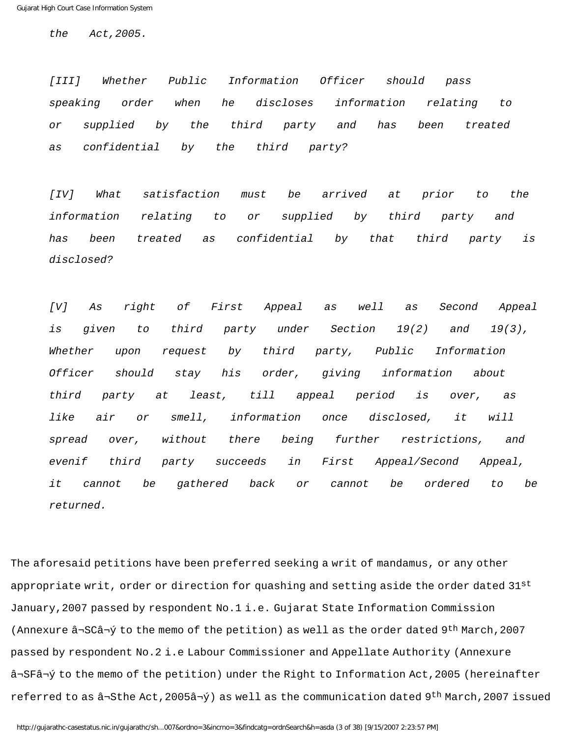the Act,2005.

[III] Whether Public Information Officer should pass speaking order when he discloses information relating to or supplied by the third party and has been treated as confidential by the third party?

[IV] What satisfaction must be arrived at prior to the information relating to or supplied by third party and has been treated as confidential by that third party is disclosed?

[V] As right of First Appeal as well as Second Appeal is given to third party under Section 19(2) and 19(3), Whether upon request by third party, Public Information Officer should stay his order, giving information about third party at least, till appeal period is over, as like air or smell, information once disclosed, it will spread over, without there being further restrictions, and evenif third party succeeds in First Appeal/Second Appeal, it cannot be gathered back or cannot be ordered to be returned.

The aforesaid petitions have been preferred seeking a writ of mandamus, or any other appropriate writ, order or direction for quashing and setting aside the order dated  $31^{st}$ January,2007 passed by respondent No.1 i.e. Gujarat State Information Commission (Annexure â¬SCâ¬ý to the memo of the petition) as well as the order dated 9th March,2007 passed by respondent No.2 i.e Labour Commissioner and Appellate Authority (Annexure â¬SFâ¬ý to the memo of the petition) under the Right to Information Act,2005 (hereinafter referred to as  $\hat{a}$ ¬Sthe Act,2005 $\hat{a}$ ¬ý) as well as the communication dated 9<sup>th</sup> March,2007 issued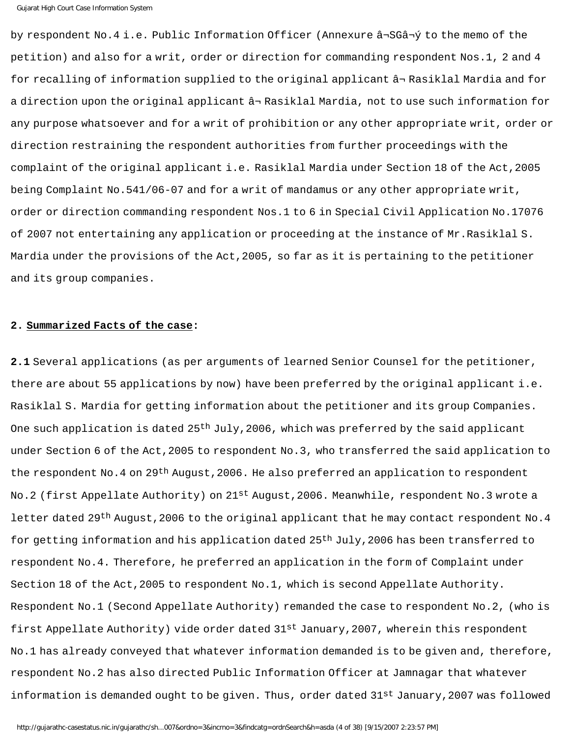by respondent No.4 i.e. Public Information Officer (Annexure â¬SGâ¬ý to the memo of the petition) and also for a writ, order or direction for commanding respondent Nos.1, 2 and 4 for recalling of information supplied to the original applicant â¬ Rasiklal Mardia and for a direction upon the original applicant â¬ Rasiklal Mardia, not to use such information for any purpose whatsoever and for a writ of prohibition or any other appropriate writ, order or direction restraining the respondent authorities from further proceedings with the complaint of the original applicant i.e. Rasiklal Mardia under Section 18 of the Act,2005 being Complaint No.541/06-07 and for a writ of mandamus or any other appropriate writ, order or direction commanding respondent Nos.1 to 6 in Special Civil Application No.17076 of 2007 not entertaining any application or proceeding at the instance of Mr.Rasiklal S. Mardia under the provisions of the Act,2005, so far as it is pertaining to the petitioner and its group companies.

## **2. Summarized Facts of the case:**

**2.1** Several applications (as per arguments of learned Senior Counsel for the petitioner, there are about 55 applications by now) have been preferred by the original applicant i.e. Rasiklal S. Mardia for getting information about the petitioner and its group Companies. One such application is dated  $25<sup>th</sup>$  July, 2006, which was preferred by the said applicant under Section 6 of the Act, 2005 to respondent No.3, who transferred the said application to the respondent No.4 on 29<sup>th</sup> August, 2006. He also preferred an application to respondent No.2 (first Appellate Authority) on 21<sup>st</sup> August,2006. Meanwhile, respondent No.3 wrote a letter dated 29<sup>th</sup> August, 2006 to the original applicant that he may contact respondent No. 4 for getting information and his application dated 25<sup>th</sup> July, 2006 has been transferred to respondent No.4. Therefore, he preferred an application in the form of Complaint under Section 18 of the Act,2005 to respondent No.1, which is second Appellate Authority. Respondent No.1 (Second Appellate Authority) remanded the case to respondent No.2, (who is first Appellate Authority) vide order dated 31st January,2007, wherein this respondent No.1 has already conveyed that whatever information demanded is to be given and, therefore, respondent No.2 has also directed Public Information Officer at Jamnagar that whatever information is demanded ought to be given. Thus, order dated 31st January, 2007 was followed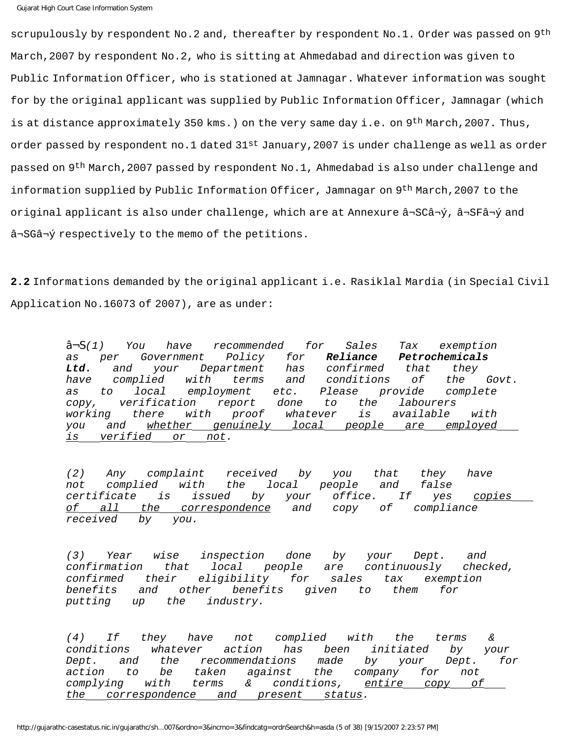scrupulously by respondent No.2 and, thereafter by respondent No.1. Order was passed on 9<sup>th</sup> March,2007 by respondent No.2, who is sitting at Ahmedabad and direction was given to Public Information Officer, who is stationed at Jamnagar. Whatever information was sought for by the original applicant was supplied by Public Information Officer, Jamnagar (which is at distance approximately 350 kms.) on the very same day i.e. on 9<sup>th</sup> March, 2007. Thus, order passed by respondent no.1 dated  $31^{st}$  January, 2007 is under challenge as well as order passed on 9th March,2007 passed by respondent No.1, Ahmedabad is also under challenge and information supplied by Public Information Officer, Jamnagar on 9th March,2007 to the original applicant is also under challenge, which are at Annexure â¬SCâ¬ý, â¬SFâ¬ý and â¬SGâ¬ý respectively to the memo of the petitions.

**2.2** Informations demanded by the original applicant i.e. Rasiklal Mardia (in Special Civil Application No.16073 of 2007), are as under:

> â¬S(1) You have recommended for Sales Tax exemption as per Government Policy for **Reliance Petrochemicals Ltd.** and your Department has confirmed that they have complied with terms and conditions of the Govt. as to local employment etc. Please provide complete copy, verification report done to the labourers working there with proof whatever is available with you and whether genuinely local people are employed is verified or not.

(2) Any complaint received by you that they have not complied with the local people and false certificate is issued by your office. If yes copies of all the correspondence and copy of compliance received by you.

(3) Year wise inspection done by your Dept. and confirmation that local people are continuously checked, confirmed their eligibility for sales tax exemption benefits and other benefits given to them for putting up the industry.

(4) If they have not complied with the terms & conditions whatever action has been initiated by your Dept. and the recommendations made by your Dept. for action to be taken against the company for not complying with terms & conditions, entire copy of the correspondence and present status.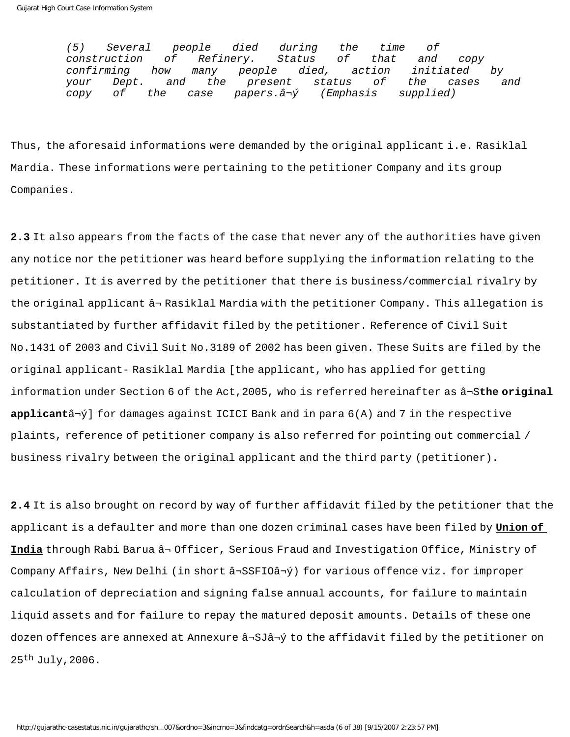(5) Several people died during the time of construction of Refinery. Status of that and copy confirming how many people died, action initiated by your Dept. and the present status of the cases and copy of the case papers.â¬ý (Emphasis supplied)

Thus, the aforesaid informations were demanded by the original applicant i.e. Rasiklal Mardia. These informations were pertaining to the petitioner Company and its group Companies.

**2.3** It also appears from the facts of the case that never any of the authorities have given any notice nor the petitioner was heard before supplying the information relating to the petitioner. It is averred by the petitioner that there is business/commercial rivalry by the original applicant â¬ Rasiklal Mardia with the petitioner Company. This allegation is substantiated by further affidavit filed by the petitioner. Reference of Civil Suit No.1431 of 2003 and Civil Suit No.3189 of 2002 has been given. These Suits are filed by the original applicant- Rasiklal Mardia [the applicant, who has applied for getting information under Section 6 of the Act,2005, who is referred hereinafter as â¬S**the original applicant**â¬ý] for damages against ICICI Bank and in para 6(A) and 7 in the respective plaints, reference of petitioner company is also referred for pointing out commercial / business rivalry between the original applicant and the third party (petitioner).

**2.4** It is also brought on record by way of further affidavit filed by the petitioner that the applicant is a defaulter and more than one dozen criminal cases have been filed by **Union of India** through Rabi Barua â¬ Officer, Serious Fraud and Investigation Office, Ministry of Company Affairs, New Delhi (in short â¬SSFIOâ¬ý) for various offence viz. for improper calculation of depreciation and signing false annual accounts, for failure to maintain liquid assets and for failure to repay the matured deposit amounts. Details of these one dozen offences are annexed at Annexure â¬SJâ¬ý to the affidavit filed by the petitioner on 25th July,2006.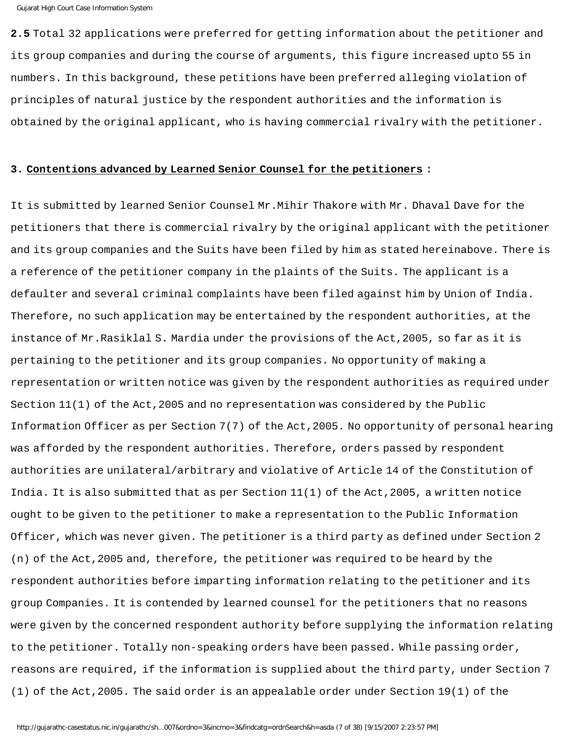```
Gujarat High Court Case Information System
```
**2.5** Total 32 applications were preferred for getting information about the petitioner and its group companies and during the course of arguments, this figure increased upto 55 in numbers. In this background, these petitions have been preferred alleging violation of principles of natural justice by the respondent authorities and the information is obtained by the original applicant, who is having commercial rivalry with the petitioner.

### **3. Contentions advanced by Learned Senior Counsel for the petitioners :**

It is submitted by learned Senior Counsel Mr.Mihir Thakore with Mr. Dhaval Dave for the petitioners that there is commercial rivalry by the original applicant with the petitioner and its group companies and the Suits have been filed by him as stated hereinabove. There is a reference of the petitioner company in the plaints of the Suits. The applicant is a defaulter and several criminal complaints have been filed against him by Union of India. Therefore, no such application may be entertained by the respondent authorities, at the instance of Mr.Rasiklal S. Mardia under the provisions of the Act,2005, so far as it is pertaining to the petitioner and its group companies. No opportunity of making a representation or written notice was given by the respondent authorities as required under Section 11(1) of the Act,2005 and no representation was considered by the Public Information Officer as per Section 7(7) of the Act,2005. No opportunity of personal hearing was afforded by the respondent authorities. Therefore, orders passed by respondent authorities are unilateral/arbitrary and violative of Article 14 of the Constitution of India. It is also submitted that as per Section 11(1) of the Act,2005, a written notice ought to be given to the petitioner to make a representation to the Public Information Officer, which was never given. The petitioner is a third party as defined under Section 2 (n) of the Act,2005 and, therefore, the petitioner was required to be heard by the respondent authorities before imparting information relating to the petitioner and its group Companies. It is contended by learned counsel for the petitioners that no reasons were given by the concerned respondent authority before supplying the information relating to the petitioner. Totally non-speaking orders have been passed. While passing order, reasons are required, if the information is supplied about the third party, under Section 7 (1) of the Act,2005. The said order is an appealable order under Section 19(1) of the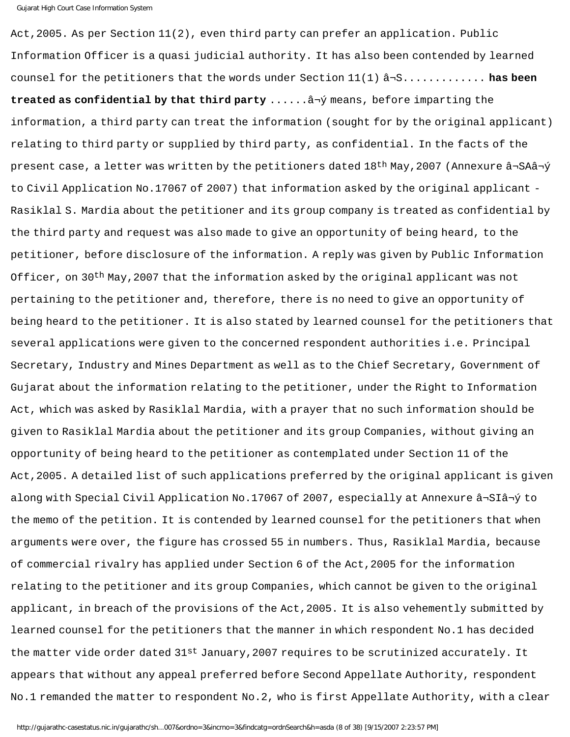Act, 2005. As per Section 11(2), even third party can prefer an application. Public Information Officer is a quasi judicial authority. It has also been contended by learned counsel for the petitioners that the words under Section 11(1) â¬S............. **has been treated as confidential by that third party** ......â¬ý means, before imparting the information, a third party can treat the information (sought for by the original applicant) relating to third party or supplied by third party, as confidential. In the facts of the present case, a letter was written by the petitioners dated 18th May,2007 (Annexure â¬SAâ¬ý to Civil Application No.17067 of 2007) that information asked by the original applicant - Rasiklal S. Mardia about the petitioner and its group company is treated as confidential by the third party and request was also made to give an opportunity of being heard, to the petitioner, before disclosure of the information. A reply was given by Public Information Officer, on 30<sup>th</sup> May, 2007 that the information asked by the original applicant was not pertaining to the petitioner and, therefore, there is no need to give an opportunity of being heard to the petitioner. It is also stated by learned counsel for the petitioners that several applications were given to the concerned respondent authorities i.e. Principal Secretary, Industry and Mines Department as well as to the Chief Secretary, Government of Gujarat about the information relating to the petitioner, under the Right to Information Act, which was asked by Rasiklal Mardia, with a prayer that no such information should be given to Rasiklal Mardia about the petitioner and its group Companies, without giving an opportunity of being heard to the petitioner as contemplated under Section 11 of the Act,2005. A detailed list of such applications preferred by the original applicant is given along with Special Civil Application No.17067 of 2007, especially at Annexure â¬SIâ¬ý to the memo of the petition. It is contended by learned counsel for the petitioners that when arguments were over, the figure has crossed 55 in numbers. Thus, Rasiklal Mardia, because of commercial rivalry has applied under Section 6 of the Act,2005 for the information relating to the petitioner and its group Companies, which cannot be given to the original applicant, in breach of the provisions of the Act,2005. It is also vehemently submitted by learned counsel for the petitioners that the manner in which respondent No.1 has decided the matter vide order dated  $31^{st}$  January, 2007 requires to be scrutinized accurately. It appears that without any appeal preferred before Second Appellate Authority, respondent No.1 remanded the matter to respondent No.2, who is first Appellate Authority, with a clear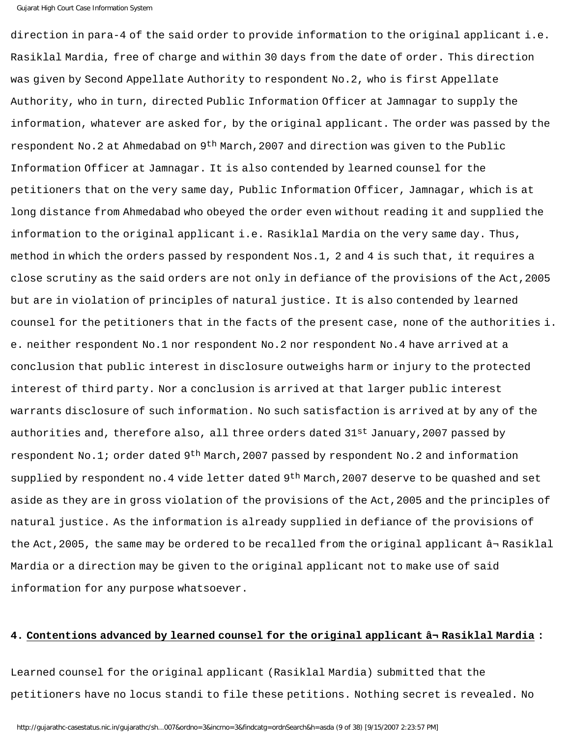direction in para-4 of the said order to provide information to the original applicant i.e. Rasiklal Mardia, free of charge and within 30 days from the date of order. This direction was given by Second Appellate Authority to respondent No.2, who is first Appellate Authority, who in turn, directed Public Information Officer at Jamnagar to supply the information, whatever are asked for, by the original applicant. The order was passed by the respondent No.2 at Ahmedabad on 9th March,2007 and direction was given to the Public Information Officer at Jamnagar. It is also contended by learned counsel for the petitioners that on the very same day, Public Information Officer, Jamnagar, which is at long distance from Ahmedabad who obeyed the order even without reading it and supplied the information to the original applicant i.e. Rasiklal Mardia on the very same day. Thus, method in which the orders passed by respondent Nos.1, 2 and 4 is such that, it requires a close scrutiny as the said orders are not only in defiance of the provisions of the Act,2005 but are in violation of principles of natural justice. It is also contended by learned counsel for the petitioners that in the facts of the present case, none of the authorities i. e. neither respondent No.1 nor respondent No.2 nor respondent No.4 have arrived at a conclusion that public interest in disclosure outweighs harm or injury to the protected interest of third party. Nor a conclusion is arrived at that larger public interest warrants disclosure of such information. No such satisfaction is arrived at by any of the authorities and, therefore also, all three orders dated 31<sup>st</sup> January, 2007 passed by respondent No.1; order dated 9<sup>th</sup> March, 2007 passed by respondent No.2 and information supplied by respondent no. 4 vide letter dated 9<sup>th</sup> March, 2007 deserve to be quashed and set aside as they are in gross violation of the provisions of the Act,2005 and the principles of natural justice. As the information is already supplied in defiance of the provisions of the Act,2005, the same may be ordered to be recalled from the original applicant â¬ Rasiklal Mardia or a direction may be given to the original applicant not to make use of said information for any purpose whatsoever.

### **4. Contentions advanced by learned counsel for the original applicant â¬ Rasiklal Mardia :**

Learned counsel for the original applicant (Rasiklal Mardia) submitted that the petitioners have no locus standi to file these petitions. Nothing secret is revealed. No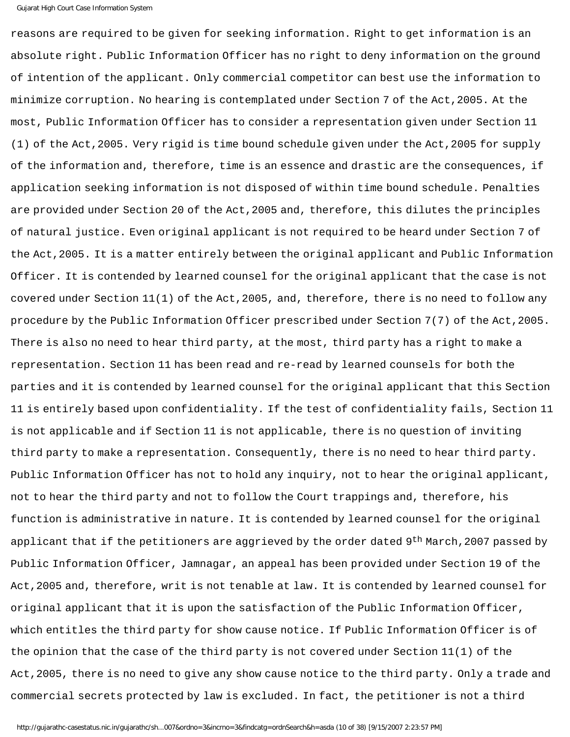```
Gujarat High Court Case Information System
```
reasons are required to be given for seeking information. Right to get information is an absolute right. Public Information Officer has no right to deny information on the ground of intention of the applicant. Only commercial competitor can best use the information to minimize corruption. No hearing is contemplated under Section 7 of the Act,2005. At the most, Public Information Officer has to consider a representation given under Section 11 (1) of the Act,2005. Very rigid is time bound schedule given under the Act,2005 for supply of the information and, therefore, time is an essence and drastic are the consequences, if application seeking information is not disposed of within time bound schedule. Penalties are provided under Section 20 of the Act,2005 and, therefore, this dilutes the principles of natural justice. Even original applicant is not required to be heard under Section 7 of the Act,2005. It is a matter entirely between the original applicant and Public Information Officer. It is contended by learned counsel for the original applicant that the case is not covered under Section 11(1) of the Act,2005, and, therefore, there is no need to follow any procedure by the Public Information Officer prescribed under Section 7(7) of the Act,2005. There is also no need to hear third party, at the most, third party has a right to make a representation. Section 11 has been read and re-read by learned counsels for both the parties and it is contended by learned counsel for the original applicant that this Section 11 is entirely based upon confidentiality. If the test of confidentiality fails, Section 11 is not applicable and if Section 11 is not applicable, there is no question of inviting third party to make a representation. Consequently, there is no need to hear third party. Public Information Officer has not to hold any inquiry, not to hear the original applicant, not to hear the third party and not to follow the Court trappings and, therefore, his function is administrative in nature. It is contended by learned counsel for the original applicant that if the petitioners are aggrieved by the order dated 9<sup>th</sup> March, 2007 passed by Public Information Officer, Jamnagar, an appeal has been provided under Section 19 of the Act,2005 and, therefore, writ is not tenable at law. It is contended by learned counsel for original applicant that it is upon the satisfaction of the Public Information Officer, which entitles the third party for show cause notice. If Public Information Officer is of the opinion that the case of the third party is not covered under Section 11(1) of the Act,2005, there is no need to give any show cause notice to the third party. Only a trade and commercial secrets protected by law is excluded. In fact, the petitioner is not a third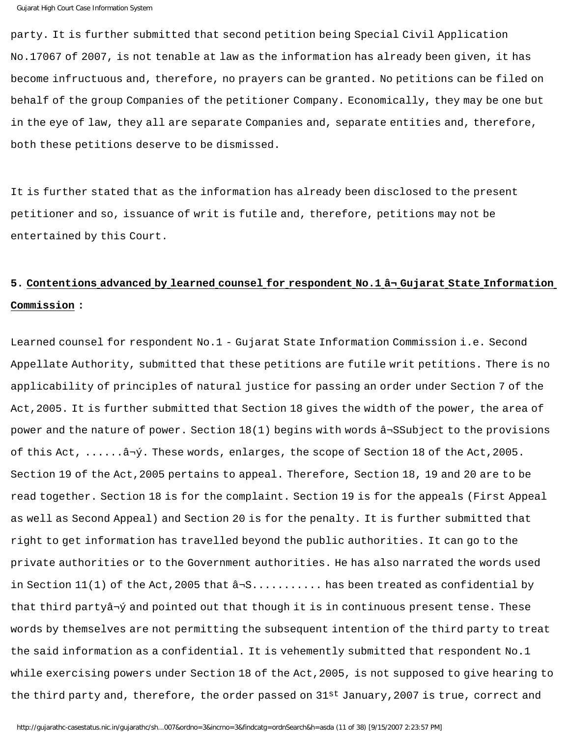party. It is further submitted that second petition being Special Civil Application No.17067 of 2007, is not tenable at law as the information has already been given, it has become infructuous and, therefore, no prayers can be granted. No petitions can be filed on behalf of the group Companies of the petitioner Company. Economically, they may be one but in the eye of law, they all are separate Companies and, separate entities and, therefore, both these petitions deserve to be dismissed.

It is further stated that as the information has already been disclosed to the present petitioner and so, issuance of writ is futile and, therefore, petitions may not be entertained by this Court.

# **5. Contentions advanced by learned counsel for respondent No.1 â¬ Gujarat State Information Commission :**

Learned counsel for respondent No.1 - Gujarat State Information Commission i.e. Second Appellate Authority, submitted that these petitions are futile writ petitions. There is no applicability of principles of natural justice for passing an order under Section 7 of the Act,2005. It is further submitted that Section 18 gives the width of the power, the area of power and the nature of power. Section 18(1) begins with words â¬SSubject to the provisions of this Act, ......â¬ý. These words, enlarges, the scope of Section 18 of the Act,2005. Section 19 of the Act,2005 pertains to appeal. Therefore, Section 18, 19 and 20 are to be read together. Section 18 is for the complaint. Section 19 is for the appeals (First Appeal as well as Second Appeal) and Section 20 is for the penalty. It is further submitted that right to get information has travelled beyond the public authorities. It can go to the private authorities or to the Government authorities. He has also narrated the words used in Section  $11(1)$  of the Act, 2005 that  $\hat{a}$ -S........... has been treated as confidential by that third partyâ¬ý and pointed out that though it is in continuous present tense. These words by themselves are not permitting the subsequent intention of the third party to treat the said information as a confidential. It is vehemently submitted that respondent No.1 while exercising powers under Section 18 of the Act,2005, is not supposed to give hearing to the third party and, therefore, the order passed on 31<sup>st</sup> January,2007 is true, correct and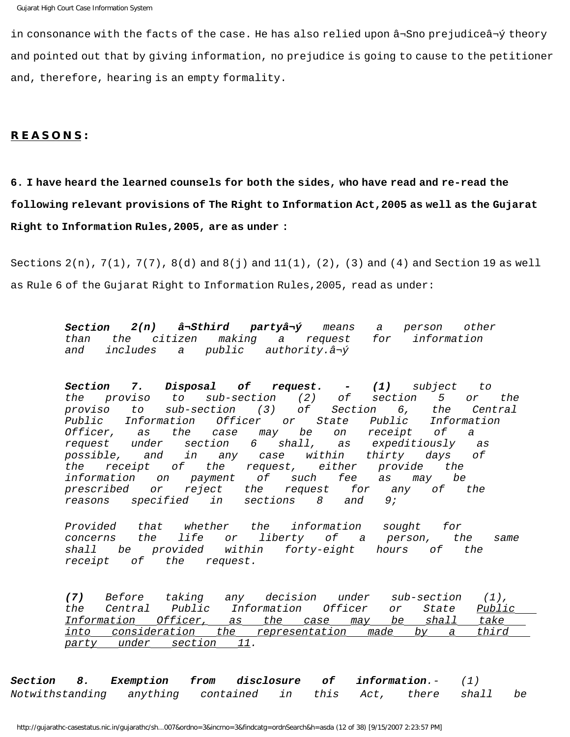in consonance with the facts of the case. He has also relied upon â¬Sno prejudiceâ¬ý theory and pointed out that by giving information, no prejudice is going to cause to the petitioner and, therefore, hearing is an empty formality.

## **R E A S O N S :**

# **6. I have heard the learned counsels for both the sides, who have read and re-read the following relevant provisions of The Right to Information Act,2005 as well as the Gujarat Right to Information Rules,2005, are as under :**

Sections  $2(n)$ ,  $7(1)$ ,  $7(7)$ ,  $8(d)$  and  $8(j)$  and  $11(1)$ ,  $(2)$ ,  $(3)$  and  $(4)$  and Section 19 as well as Rule 6 of the Gujarat Right to Information Rules,2005, read as under:

> **Section 2(n) â¬Sthird partyâ¬ý** means a person other than the citizen making a request for information and includes a public authority.â¬ý

**Section 7. Disposal of request. - (1)** subject to the proviso to sub-section (2) of section 5 or the proviso to sub-section (3) of Section 6, the Central Public Information Officer or State Public Information<br>Officer, as the case may be on receipt of a as the case may be on receipt of a request under section 6 shall, as expeditiously as possible, and in any case within thirty days of the receipt of the request, either provide the information on payment of such fee as may be prescribed or reject the request for any of the reasons specified in sections 8 and 9;

Provided that whether the information sought for concerns the life or liberty of a person, the same shall be provided within forty-eight hours of the receipt of the request.

**(7)** Before taking any decision under sub-section (1), the Central Public Information Officer or State Public Information Officer, as the case may be shall take into consideration the representation made by a third party under section 11.

**Section 8. Exemption from disclosure of information**.- (1) Notwithstanding anything contained in this Act, there shall be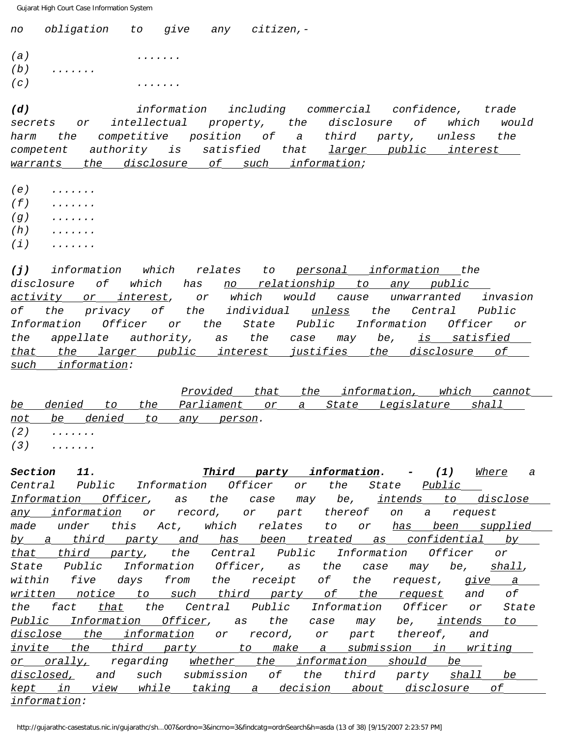no obligation to give any citizen,-  $(a)$  .......  $(b)$  ......  $(c)$  .......

**(d)** information including commercial confidence, trade secrets or intellectual property, the disclosure of which would harm the competitive position of a third party, unless the competent authority is satisfied that larger public interest warrants the disclosure of such information;

- $(e)$  ......
- $(f)$  ......
- $(q)$  ......
- $(h)$  ......
- $(i)$  ......

**(j)** information which relates to personal information the disclosure of which has no relationship to any public activity or interest, or which would cause unwarranted invasion of the privacy of the individual unless the Central Public Information Officer or the State Public Information Officer or the appellate authority, as the case may be, is satisfied that the larger public interest justifies the disclosure of such information:

 Provided that the information, which cannot be denied to the Parliament or a State Legislature shall not be denied to any person.  $(2)$  ......  $(3)$  ......

**Section 11. Third party information. - (1)** Where a Central Public Information Officer or the State Public Information Officer, as the case may be, intends to disclose any information or record, or part thereof on a request made under this Act, which relates to or has been supplied by a third party and has been treated as confidential by that third party, the Central Public Information Officer or State Public Information Officer, as the case may be, shall, within five days from the receipt of the request, give a written notice to such third party of the request and of the fact that the Central Public Information Officer or State Public Information Officer, as the case may be, intends to disclose the information or record, or part thereof, and invite the third party to make a submission in writing or orally, regarding whether the information should be disclosed, and such submission of the third party shall be kept in view while taking a decision about disclosure of information: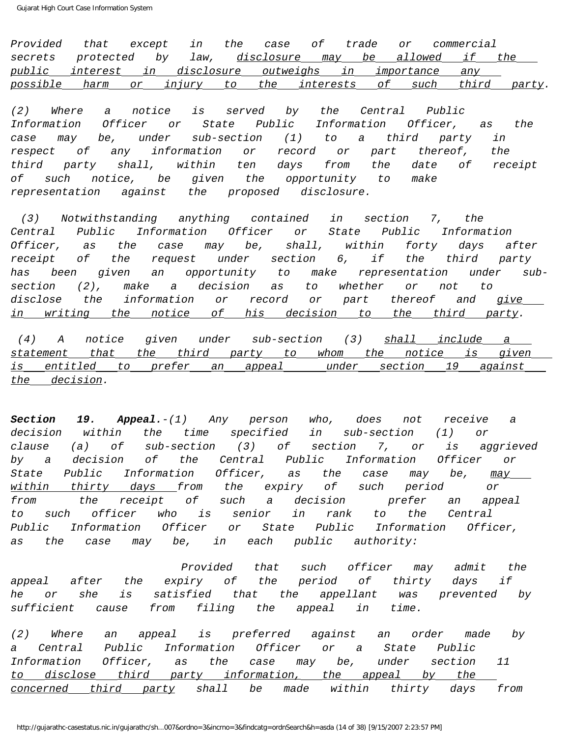Provided that except in the case of trade or commercial secrets protected by law, disclosure may be allowed if the public interest in disclosure outweighs in importance any possible harm or injury to the interests of such third party.

(2) Where a notice is served by the Central Public Information Officer or State Public Information Officer, as the case may be, under sub-section (1) to a third party in respect of any information or record or part thereof, the third party shall, within ten days from the date of receipt of such notice, be given the opportunity to make representation against the proposed disclosure.

 (3) Notwithstanding anything contained in section 7, the Central Public Information Officer or State Public Information Officer, as the case may be, shall, within forty days after receipt of the request under section 6, if the third party has been given an opportunity to make representation under subsection (2), make a decision as to whether or not to disclose the information or record or part thereof and give in writing the notice of his decision to the third party.

(4) A notice given under sub-section (3) shall include a statement that the third party to whom the notice is given is entitled to prefer an appeal under section 19 against the decision.

**Section 19. Appeal.**-(1) Any person who, does not receive a decision within the time specified in sub-section (1) or clause (a) of sub-section (3) of section 7, or is aggrieved by a decision of the Central Public Information Officer or State Public Information Officer, as the case may be, may within thirty days from the expiry of such period or from the receipt of such a decision prefer an appeal to such officer who is senior in rank to the Central Public Information Officer or State Public Information Officer, as the case may be, in each public authority:

 Provided that such officer may admit the appeal after the expiry of the period of thirty days if he or she is satisfied that the appellant was prevented by sufficient cause from filing the appeal in time.

(2) Where an appeal is preferred against an order made by a Central Public Information Officer or a State Public Information Officer, as the case may be, under section 11 to disclose third party information, the appeal by the concerned third party shall be made within thirty days from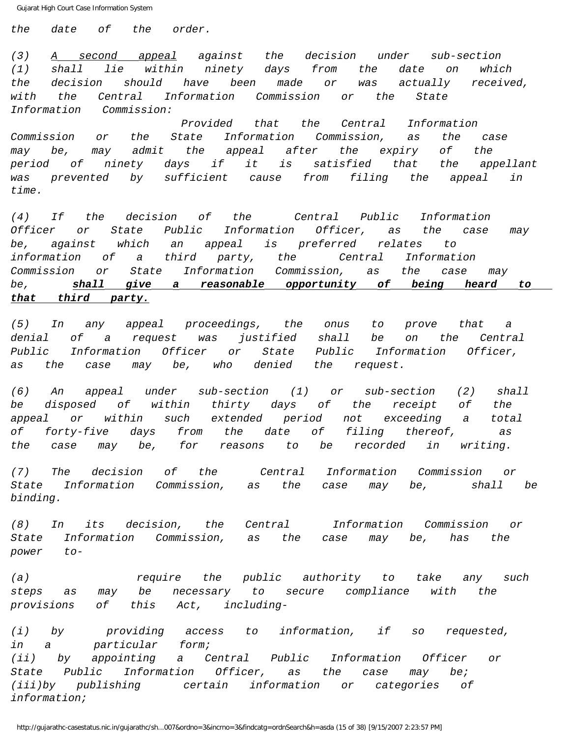the date of the order.

(3) A second appeal against the decision under sub-section (1) shall lie within ninety days from the date on which the decision should have been made or was actually received, with the Central Information Commission or the State Information Commission:

 Provided that the Central Information Commission or the State Information Commission, as the case may be, may admit the appeal after the expiry of the period of ninety days if it is satisfied that the appellant .<br>was prevented by sufficient cause from filing the appeal in time.

(4) If the decision of the Central Public Information Officer or State Public Information Officer, as the case may be, against which an appeal is preferred relates to information of a third party, the Central Information Commission or State Information Commission, as the case may be, **shall give a reasonable opportunity of being heard to that third party.**

(5) In any appeal proceedings, the onus to prove that a denial of a request was justified shall be on the Central Public Information Officer or State Public Information Officer, as the case may be, who denied the request.

(6) An appeal under sub-section (1) or sub-section (2) shall be disposed of within thirty days of the receipt of the appeal or within such extended period not exceeding a total of forty-five days from the date of filing thereof, as the case may be, for reasons to be recorded in writing.

(7) The decision of the Central Information Commission or State Information Commission, as the case may be, shall be binding.

(8) In its decision, the Central Information Commission or State Information Commission, as the case may be, has the power to-

(a) arequire the public authority to take any such steps as may be necessary to secure compliance with the provisions of this Act, including-

(i) by providing access to information, if so requested, in a particular form; (ii) by appointing a Central Public Information Officer or State Public Information Officer, as the case may be; (iii)by publishing certain information or categories of information;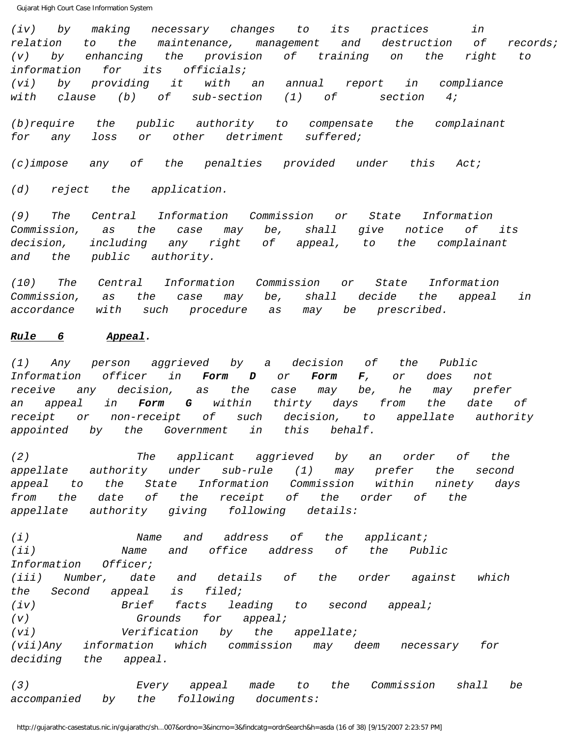(iv) by making necessary changes to its practices in relation to the maintenance, management and destruction of records; (v) by enhancing the provision of training on the right to information for its officials;

(vi) by providing it with an annual report in compliance with clause (b) of sub-section (1) of section  $4;$ 

(b)require the public authority to compensate the complainant for any loss or other detriment suffered;

(c)impose any of the penalties provided under this Act;

(d) reject the application.

(9) The Central Information Commission or State Information Commission, as the case may be, shall give notice of its decision, including any right of appeal, to the complainant and the public authority.

(10) The Central Information Commission or State Information Commission, as the case may be, shall decide the appeal in accordance with such procedure as may be prescribed.

## **Rule 6 Appeal.**

(1) Any person aggrieved by a decision of the Public Information officer in **Form D** or **Form F**, or does not receive any decision, as the case may be, he may prefer an appeal in **Form G** within thirty days from the date of receipt or non-receipt of such decision, to appellate authority appointed by the Government in this behalf.

(2) The applicant aggrieved by an order of the appellate authority under sub-rule (1) may prefer the second appeal to the State Information Commission within ninety days from the date of the receipt of the order of the appellate authority giving following details:

(i) Name and address of the applicant; (ii) Name and office address of the Public Information Officer; (iii) Number, date and details of the order against which the Second appeal is filed; (iv) Brief facts leading to second appeal; (v) Grounds for appeal; (vi) Verification by the appellate; (vii)Any information which commission may deem necessary for deciding the appeal.

(3) Every appeal made to the Commission shall be accompanied by the following documents: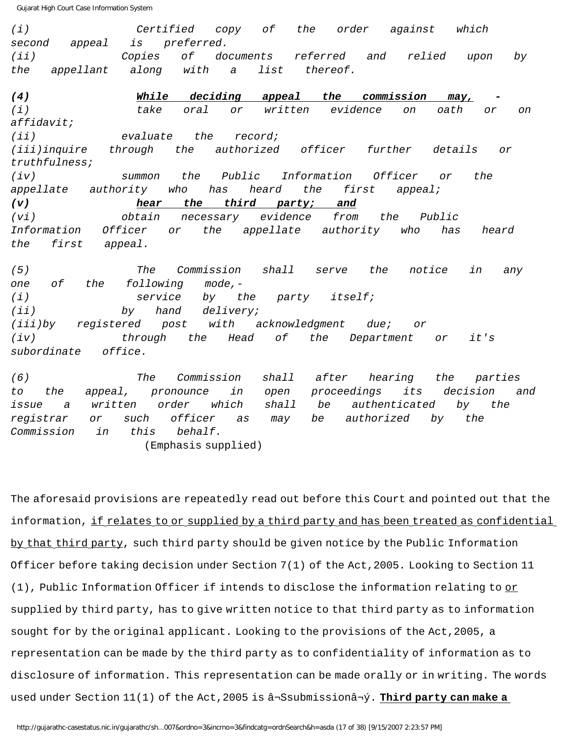(i) Certified copy of the order against which second appeal is preferred. (ii) Copies of documents referred and relied upon by the appellant along with a list thereof. **(4) While deciding appeal the commission may, -** (i) take oral or written evidence on oath or on affidavit; (ii) evaluate the record; (iii)inquire through the authorized officer further details or truthfulness; (iv) summon the Public Information Officer or the appellate authority who has heard the first appeal; **(v) hear the third party; and** (vi) obtain necessary evidence from the Public Information Officer or the appellate authority who has heard the first appeal. (5) The Commission shall serve the notice in any one of the following mode,- (i) service by the party itself; (ii) by hand delivery; (iii)by registered post with acknowledgment due; or (iv) through the Head of the Department or it's subordinate office.

(6) The Commission shall after hearing the parties to the appeal, pronounce in open proceedings its decision and issue a written order which shall be authenticated by the registrar or such officer as may be authorized by the Commission in this behalf.

(Emphasis supplied)

The aforesaid provisions are repeatedly read out before this Court and pointed out that the information, if relates to or supplied by a third party and has been treated as confidential by that third party, such third party should be given notice by the Public Information Officer before taking decision under Section 7(1) of the Act,2005. Looking to Section 11  $(1)$ , Public Information Officer if intends to disclose the information relating to  $or$ </u> supplied by third party, has to give written notice to that third party as to information sought for by the original applicant. Looking to the provisions of the Act,2005, a representation can be made by the third party as to confidentiality of information as to disclosure of information. This representation can be made orally or in writing. The words used under Section 11(1) of the Act,2005 is â¬Ssubmissionâ¬ý. **Third party can make a**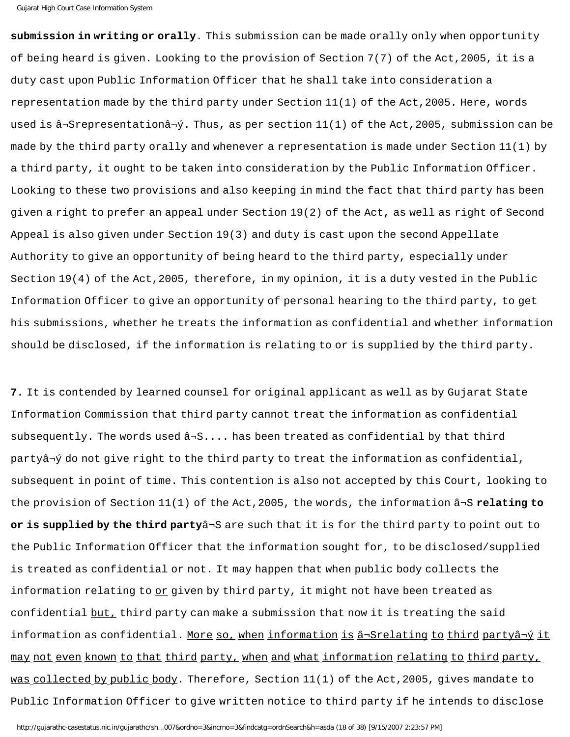**submission in writing or orally**. This submission can be made orally only when opportunity of being heard is given. Looking to the provision of Section 7(7) of the Act,2005, it is a duty cast upon Public Information Officer that he shall take into consideration a representation made by the third party under Section 11(1) of the Act,2005. Here, words used is  $\hat{a}$ -Srepresentation $\hat{a}$ - $\hat{y}$ . Thus, as per section  $11(1)$  of the Act, 2005, submission can be made by the third party orally and whenever a representation is made under Section 11(1) by a third party, it ought to be taken into consideration by the Public Information Officer. Looking to these two provisions and also keeping in mind the fact that third party has been given a right to prefer an appeal under Section 19(2) of the Act, as well as right of Second Appeal is also given under Section 19(3) and duty is cast upon the second Appellate Authority to give an opportunity of being heard to the third party, especially under Section 19(4) of the Act,2005, therefore, in my opinion, it is a duty vested in the Public Information Officer to give an opportunity of personal hearing to the third party, to get his submissions, whether he treats the information as confidential and whether information should be disclosed, if the information is relating to or is supplied by the third party.

**7.** It is contended by learned counsel for original applicant as well as by Gujarat State Information Commission that third party cannot treat the information as confidential subsequently. The words used  $\hat{a}$ -S.... has been treated as confidential by that third partyâ¬ý do not give right to the third party to treat the information as confidential, subsequent in point of time. This contention is also not accepted by this Court, looking to the provision of Section 11(1) of the Act,2005, the words, the information â¬S **relating to or is supplied by the third party**â¬S are such that it is for the third party to point out to the Public Information Officer that the information sought for, to be disclosed/supplied is treated as confidential or not. It may happen that when public body collects the information relating to  $or$  given by third party, it might not have been treated as</u> confidential but, third party can make a submission that now it is treating the said information as confidential. More so, when information is â¬Srelating to third partyâ¬ý it may not even known to that third party, when and what information relating to third party, was collected by public body. Therefore, Section 11(1) of the Act, 2005, gives mandate to Public Information Officer to give written notice to third party if he intends to disclose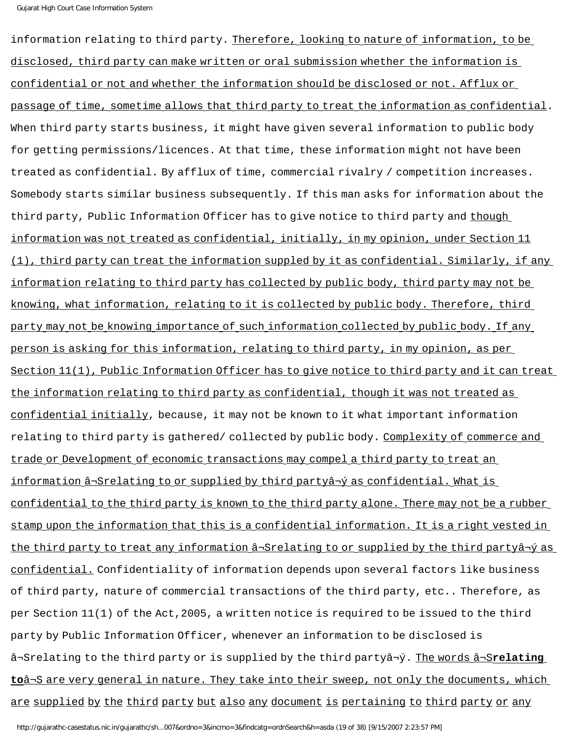information relating to third party. Therefore, looking to nature of information, to be disclosed, third party can make written or oral submission whether the information is confidential or not and whether the information should be disclosed or not. Afflux or passage of time, sometime allows that third party to treat the information as confidential. When third party starts business, it might have given several information to public body for getting permissions/licences. At that time, these information might not have been treated as confidential. By afflux of time, commercial rivalry / competition increases. Somebody starts similar business subsequently. If this man asks for information about the third party, Public Information Officer has to give notice to third party and though information was not treated as confidential, initially, in my opinion, under Section 11 (1), third party can treat the information suppled by it as confidential. Similarly, if any information relating to third party has collected by public body, third party may not be knowing, what information, relating to it is collected by public body. Therefore, third party may not be knowing importance of such information collected by public body. If any person is asking for this information, relating to third party, in my opinion, as per Section 11(1), Public Information Officer has to give notice to third party and it can treat the information relating to third party as confidential, though it was not treated as confidential initially, because, it may not be known to it what important information relating to third party is gathered/ collected by public body. Complexity of commerce and trade or Development of economic transactions may compel a third party to treat an information â¬Srelating to or supplied by third partyâ¬ý as confidential. What is confidential to the third party is known to the third party alone. There may not be a rubber stamp upon the information that this is a confidential information. It is a right vested in the third party to treat any information â¬Srelating to or supplied by the third partyâ¬ý as confidential. Confidentiality of information depends upon several factors like business of third party, nature of commercial transactions of the third party, etc.. Therefore, as per Section 11(1) of the Act,2005, a written notice is required to be issued to the third party by Public Information Officer, whenever an information to be disclosed is â¬Srelating to the third party or is supplied by the third partyâ¬ý. The words â¬S**relating to**â¬S are very general in nature. They take into their sweep, not only the documents, which are supplied by the third party but also any document is pertaining to third party or any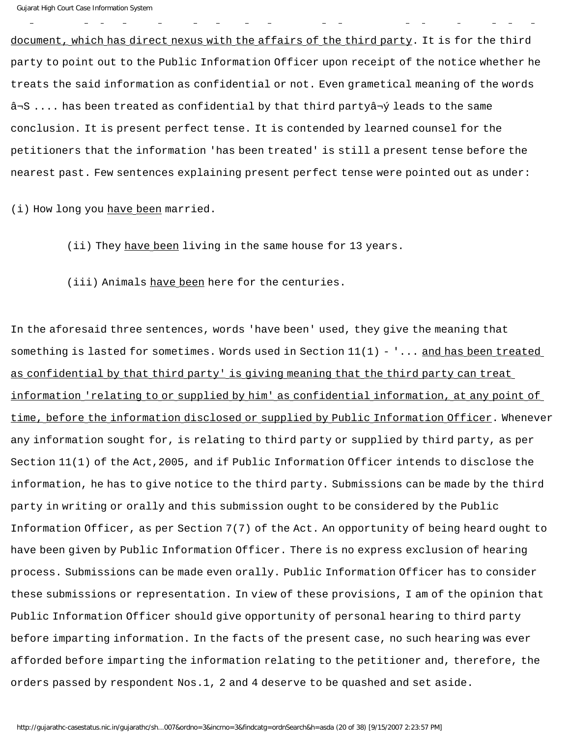document, which has direct nexus with the affairs of the third party. It is for the third party to point out to the Public Information Officer upon receipt of the notice whether he treats the said information as confidential or not. Even grametical meaning of the words â¬S .... has been treated as confidential by that third partyâ¬ý leads to the same conclusion. It is present perfect tense. It is contended by learned counsel for the petitioners that the information 'has been treated' is still a present tense before the nearest past. Few sentences explaining present perfect tense were pointed out as under:

(i) How long you have been married.

(ii) They have been living in the same house for 13 years.

(iii) Animals have been here for the centuries.

In the aforesaid three sentences, words 'have been' used, they give the meaning that something is lasted for sometimes. Words used in Section 11(1) - '... and has been treated as confidential by that third party' is giving meaning that the third party can treat information 'relating to or supplied by him' as confidential information, at any point of time, before the information disclosed or supplied by Public Information Officer. Whenever any information sought for, is relating to third party or supplied by third party, as per Section 11(1) of the Act,2005, and if Public Information Officer intends to disclose the information, he has to give notice to the third party. Submissions can be made by the third party in writing or orally and this submission ought to be considered by the Public Information Officer, as per Section 7(7) of the Act. An opportunity of being heard ought to have been given by Public Information Officer. There is no express exclusion of hearing process. Submissions can be made even orally. Public Information Officer has to consider these submissions or representation. In view of these provisions, I am of the opinion that Public Information Officer should give opportunity of personal hearing to third party before imparting information. In the facts of the present case, no such hearing was ever afforded before imparting the information relating to the petitioner and, therefore, the orders passed by respondent Nos.1, 2 and 4 deserve to be quashed and set aside.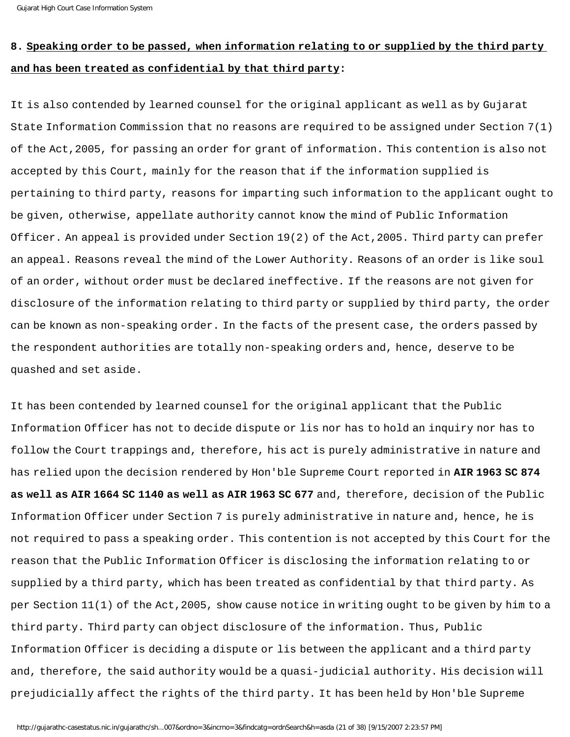## **8. Speaking order to be passed, when information relating to or supplied by the third party and has been treated as confidential by that third party:**

It is also contended by learned counsel for the original applicant as well as by Gujarat State Information Commission that no reasons are required to be assigned under Section 7(1) of the Act,2005, for passing an order for grant of information. This contention is also not accepted by this Court, mainly for the reason that if the information supplied is pertaining to third party, reasons for imparting such information to the applicant ought to be given, otherwise, appellate authority cannot know the mind of Public Information Officer. An appeal is provided under Section 19(2) of the Act,2005. Third party can prefer an appeal. Reasons reveal the mind of the Lower Authority. Reasons of an order is like soul of an order, without order must be declared ineffective. If the reasons are not given for disclosure of the information relating to third party or supplied by third party, the order can be known as non-speaking order. In the facts of the present case, the orders passed by the respondent authorities are totally non-speaking orders and, hence, deserve to be quashed and set aside.

It has been contended by learned counsel for the original applicant that the Public Information Officer has not to decide dispute or lis nor has to hold an inquiry nor has to follow the Court trappings and, therefore, his act is purely administrative in nature and has relied upon the decision rendered by Hon'ble Supreme Court reported in **AIR 1963 SC 874 as well as AIR 1664 SC 1140 as well as AIR 1963 SC 677** and, therefore, decision of the Public Information Officer under Section 7 is purely administrative in nature and, hence, he is not required to pass a speaking order. This contention is not accepted by this Court for the reason that the Public Information Officer is disclosing the information relating to or supplied by a third party, which has been treated as confidential by that third party. As per Section 11(1) of the Act,2005, show cause notice in writing ought to be given by him to a third party. Third party can object disclosure of the information. Thus, Public Information Officer is deciding a dispute or lis between the applicant and a third party and, therefore, the said authority would be a quasi-judicial authority. His decision will prejudicially affect the rights of the third party. It has been held by Hon'ble Supreme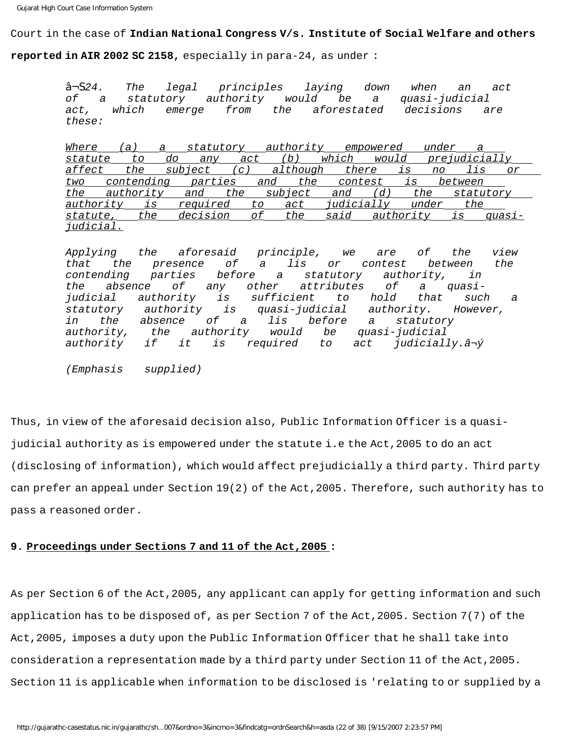### Court in the case of **Indian National Congress V/s. Institute of Social Welfare and others**

**reported in AIR 2002 SC 2158,** especially in para-24, as under :

â¬S24. The legal principles laying down when an act of a statutory authority would be a quasi-judicial act, which emerge from the aforestated decisions are these:

Where (a) a statutory authority empowered under a statute to do any act (b) which would prejudicially affect the subject (c) although there is no lis or two contending parties and the contest is between the authority and the subject and (d) the statutory authority is required to act judicially under the statute, the decision of the said authority is quasijudicial.

Applying the aforesaid principle, we are of the view that the presence of a lis or contest between the<br>contending parties before a statutory authority, in contending parties before a statutory authority, in the absence of any other attributes of a quasijudicial authority is sufficient to hold that such a<br>statutory authority is quasi-judicial authority. However, authority is quasi-judicial authority. However, in the absence of a lis before a statutory authority, the authority would be quasi-judicial authority if it is required to act judicially.â¬ý

(Emphasis supplied)

Thus, in view of the aforesaid decision also, Public Information Officer is a quasijudicial authority as is empowered under the statute i.e the Act,2005 to do an act (disclosing of information), which would affect prejudicially a third party. Third party can prefer an appeal under Section 19(2) of the Act,2005. Therefore, such authority has to pass a reasoned order.

### **9. Proceedings under Sections 7 and 11 of the Act,2005 :**

As per Section 6 of the Act,2005, any applicant can apply for getting information and such application has to be disposed of, as per Section 7 of the Act,2005. Section 7(7) of the Act,2005, imposes a duty upon the Public Information Officer that he shall take into consideration a representation made by a third party under Section 11 of the Act,2005. Section 11 is applicable when information to be disclosed is 'relating to or supplied by a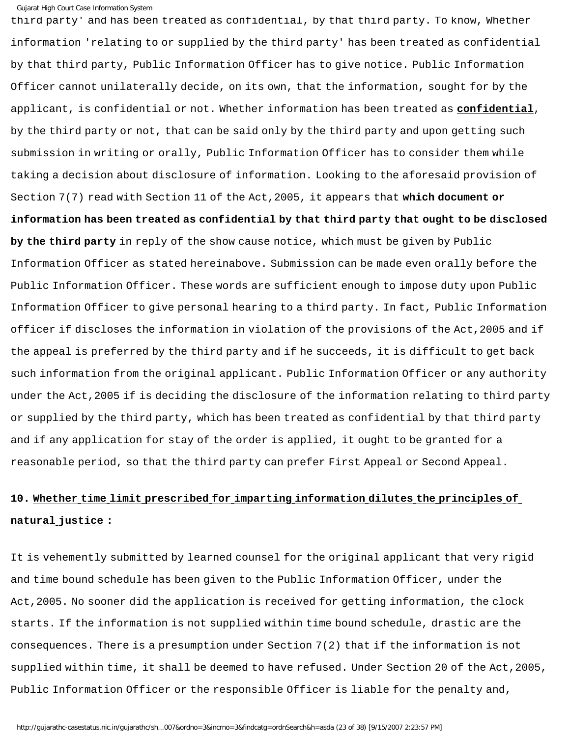third party' and has been treated as confidential, by that third party. To know, Whether information 'relating to or supplied by the third party' has been treated as confidential by that third party, Public Information Officer has to give notice. Public Information Officer cannot unilaterally decide, on its own, that the information, sought for by the applicant, is confidential or not. Whether information has been treated as **confidential**, by the third party or not, that can be said only by the third party and upon getting such submission in writing or orally, Public Information Officer has to consider them while taking a decision about disclosure of information. Looking to the aforesaid provision of Section 7(7) read with Section 11 of the Act,2005, it appears that **which document or information has been treated as confidential by that third party that ought to be disclosed by the third party** in reply of the show cause notice, which must be given by Public Information Officer as stated hereinabove. Submission can be made even orally before the Public Information Officer. These words are sufficient enough to impose duty upon Public Information Officer to give personal hearing to a third party. In fact, Public Information officer if discloses the information in violation of the provisions of the Act,2005 and if the appeal is preferred by the third party and if he succeeds, it is difficult to get back such information from the original applicant. Public Information Officer or any authority under the Act,2005 if is deciding the disclosure of the information relating to third party or supplied by the third party, which has been treated as confidential by that third party and if any application for stay of the order is applied, it ought to be granted for a reasonable period, so that the third party can prefer First Appeal or Second Appeal.

# **10. Whether time limit prescribed for imparting information dilutes the principles of natural justice :**

It is vehemently submitted by learned counsel for the original applicant that very rigid and time bound schedule has been given to the Public Information Officer, under the Act,2005. No sooner did the application is received for getting information, the clock starts. If the information is not supplied within time bound schedule, drastic are the consequences. There is a presumption under Section 7(2) that if the information is not supplied within time, it shall be deemed to have refused. Under Section 20 of the Act, 2005, Public Information Officer or the responsible Officer is liable for the penalty and,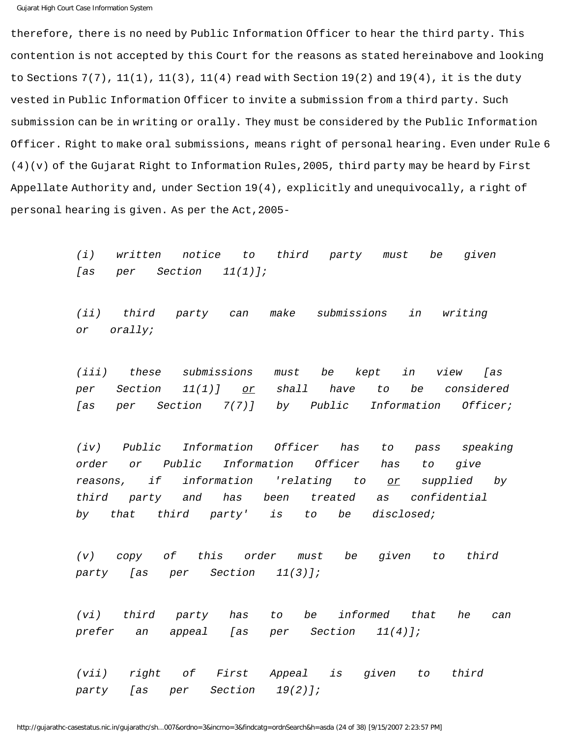therefore, there is no need by Public Information Officer to hear the third party. This contention is not accepted by this Court for the reasons as stated hereinabove and looking to Sections  $7(7)$ ,  $11(1)$ ,  $11(3)$ ,  $11(4)$  read with Section  $19(2)$  and  $19(4)$ , it is the duty vested in Public Information Officer to invite a submission from a third party. Such submission can be in writing or orally. They must be considered by the Public Information Officer. Right to make oral submissions, means right of personal hearing. Even under Rule 6 (4)(v) of the Gujarat Right to Information Rules,2005, third party may be heard by First Appellate Authority and, under Section 19(4), explicitly and unequivocally, a right of personal hearing is given. As per the Act,2005-

> (i) written notice to third party must be given [as per Section 11(1)];

(ii) third party can make submissions in writing or orally;

(iii) these submissions must be kept in view [as per Section  $11(1)$ ] or shall have to be considered [as per Section 7(7)] by Public Information Officer;

(iv) Public Information Officer has to pass speaking order or Public Information Officer has to give reasons, if information 'relating to or supplied by third party and has been treated as confidential by that third party' is to be disclosed;

(v) copy of this order must be given to third party [as per Section 11(3)];

(vi) third party has to be informed that he can prefer an appeal [as per Section 11(4)];

(vii) right of First Appeal is given to third party [as per Section 19(2)];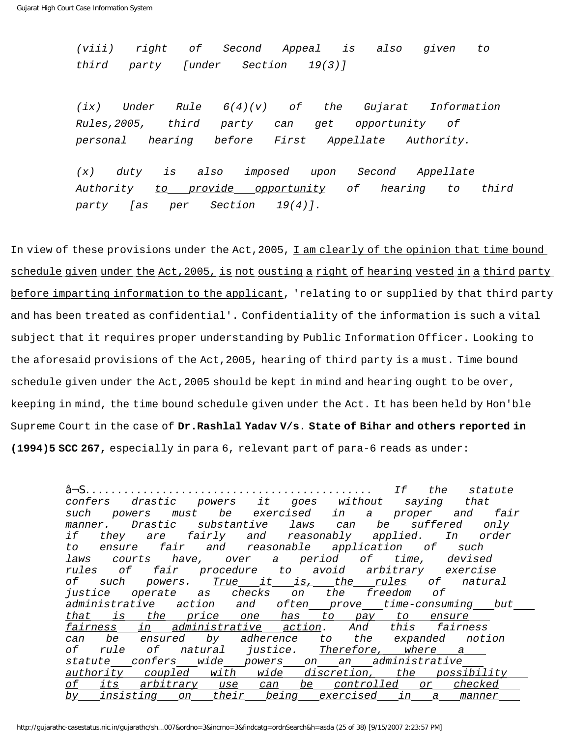(viii) right of Second Appeal is also given to third party [under Section 19(3)]

 $(ix)$  Under Rule  $6(4)(v)$  of the Gujarat Information Rules,2005, third party can get opportunity of personal hearing before First Appellate Authority.

(x) duty is also imposed upon Second Appellate Authority to provide opportunity of hearing to third party [as per Section 19(4)].

In view of these provisions under the Act, 2005, I am clearly of the opinion that time bound schedule given under the Act, 2005, is not ousting a right of hearing vested in a third party before imparting information to the applicant, 'relating to or supplied by that third party and has been treated as confidential'. Confidentiality of the information is such a vital subject that it requires proper understanding by Public Information Officer. Looking to the aforesaid provisions of the Act,2005, hearing of third party is a must. Time bound schedule given under the Act, 2005 should be kept in mind and hearing ought to be over, keeping in mind, the time bound schedule given under the Act. It has been held by Hon'ble Supreme Court in the case of **Dr.Rashlal Yadav V/s. State of Bihar and others reported in (1994)5 SCC 267,** especially in para 6, relevant part of para-6 reads as under:

â¬S............................................. If the statute confers drastic powers it goes without saying that such powers must be exercised in a proper and fair manner. Drastic substantive laws can be suffered only if they are fairly and reasonably applied. In order to ensure fair and reasonable application of such laws courts have, over a period of time, devised rules of fair procedure to avoid arbitrary exercise of such powers. <u>True it is, the rules</u> of natural justice operate as checks on the freedom of administrative action and <u>often prove time-consuming but</u> that is the price one has to pay to ensure fairness in administrative action. And this fairness can be ensured by adherence to the expanded notion of rule of natural justice. Therefore, where a statute confers wide powers on an administrative authority coupled with wide discretion, the possibility of its arbitrary use can be controlled or checked by insisting on their being exercised in a manner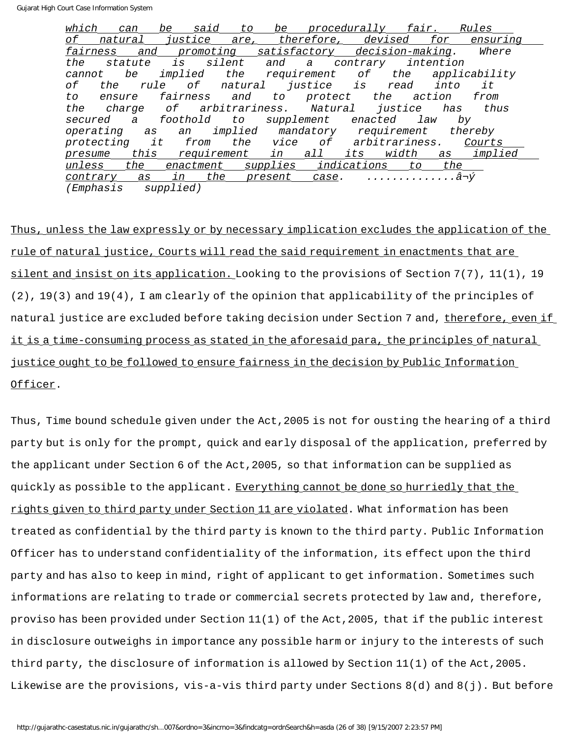which can be said to be procedurally fair. Rules of natural justice are, therefore, devised for ensuring fairness and promoting satisfactory decision-making. Where the statute is silent and a contrary intention cannot be implied the requirement of the applicability of the rule of natural justice is read into it to ensure fairness and to protect the action from the charge of arbitrariness. Natural justice has thus secured a foothold to supplement enacted law by operating as an implied mandatory requirement thereby protecting it from the vice of arbitrariness. Courts presume this requirement in all its width as implied unless the enactment supplies indications to the contrary as in the present case. ..............â¬ý (Emphasis supplied)

Thus, unless the law expressly or by necessary implication excludes the application of the rule of natural justice, Courts will read the said requirement in enactments that are silent and insist on its application. Looking to the provisions of Section 7(7), 11(1), 19 (2), 19(3) and 19(4), I am clearly of the opinion that applicability of the principles of natural justice are excluded before taking decision under Section 7 and, therefore, even if it is a time-consuming process as stated in the aforesaid para, the principles of natural justice ought to be followed to ensure fairness in the decision by Public Information Officer.

Thus, Time bound schedule given under the Act,2005 is not for ousting the hearing of a third party but is only for the prompt, quick and early disposal of the application, preferred by the applicant under Section 6 of the Act,2005, so that information can be supplied as quickly as possible to the applicant. Everything cannot be done so hurriedly that the rights given to third party under Section 11 are violated. What information has been treated as confidential by the third party is known to the third party. Public Information Officer has to understand confidentiality of the information, its effect upon the third party and has also to keep in mind, right of applicant to get information. Sometimes such informations are relating to trade or commercial secrets protected by law and, therefore, proviso has been provided under Section 11(1) of the Act,2005, that if the public interest in disclosure outweighs in importance any possible harm or injury to the interests of such third party, the disclosure of information is allowed by Section 11(1) of the Act,2005. Likewise are the provisions, vis-a-vis third party under Sections 8(d) and 8(j). But before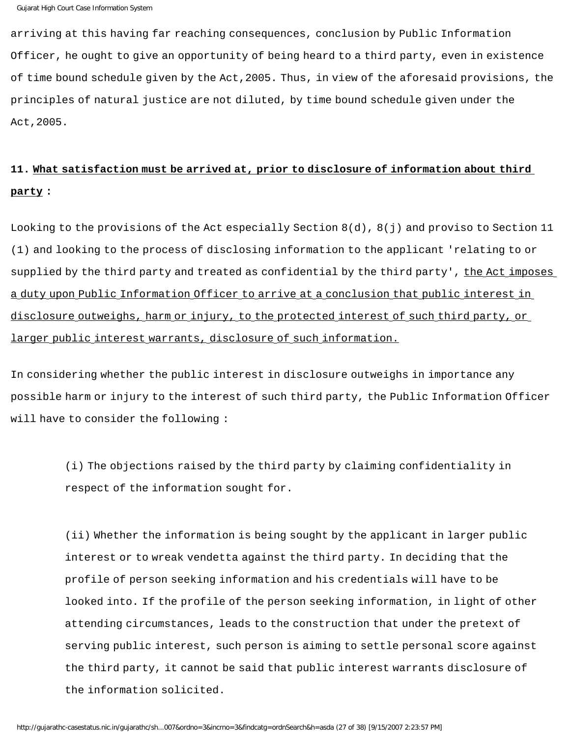arriving at this having far reaching consequences, conclusion by Public Information Officer, he ought to give an opportunity of being heard to a third party, even in existence of time bound schedule given by the Act,2005. Thus, in view of the aforesaid provisions, the principles of natural justice are not diluted, by time bound schedule given under the Act,2005.

# **11. What satisfaction must be arrived at, prior to disclosure of information about third party :**

Looking to the provisions of the Act especially Section  $8(d)$ ,  $8(j)$  and proviso to Section 11 (1) and looking to the process of disclosing information to the applicant 'relating to or supplied by the third party and treated as confidential by the third party', the Act imposes a duty upon Public Information Officer to arrive at a conclusion that public interest in disclosure outweighs, harm or injury, to the protected interest of such third party, or larger public interest warrants, disclosure of such information.

In considering whether the public interest in disclosure outweighs in importance any possible harm or injury to the interest of such third party, the Public Information Officer will have to consider the following :

> (i) The objections raised by the third party by claiming confidentiality in respect of the information sought for.

(ii) Whether the information is being sought by the applicant in larger public interest or to wreak vendetta against the third party. In deciding that the profile of person seeking information and his credentials will have to be looked into. If the profile of the person seeking information, in light of other attending circumstances, leads to the construction that under the pretext of serving public interest, such person is aiming to settle personal score against the third party, it cannot be said that public interest warrants disclosure of the information solicited.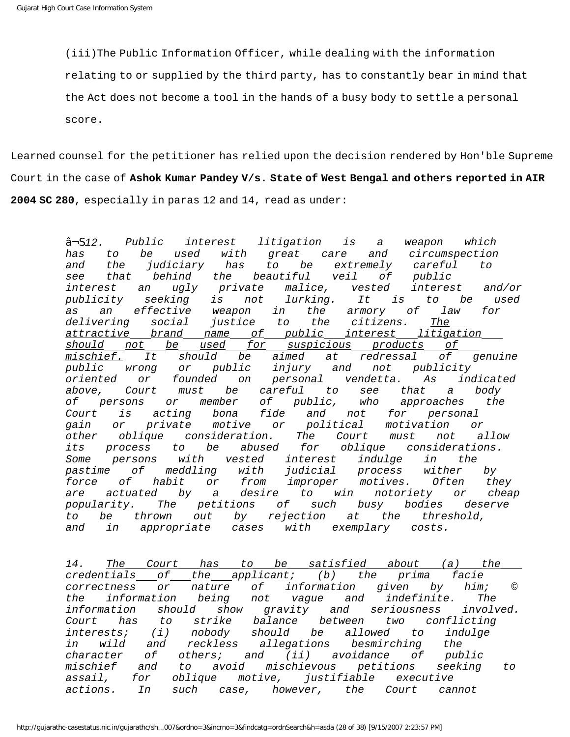(iii)The Public Information Officer, while dealing with the information

relating to or supplied by the third party, has to constantly bear in mind that

the Act does not become a tool in the hands of a busy body to settle a personal

score.

Learned counsel for the petitioner has relied upon the decision rendered by Hon'ble Supreme Court in the case of **Ashok Kumar Pandey V/s. State of West Bengal and others reported in AIR 2004 SC 280**, especially in paras 12 and 14, read as under:

> â¬S12. Public interest litigation is a weapon which has to be used with great care and circumspection and the judiciary has to be extremely careful to see that behind the beautiful veil of public interest an ugly private malice, vested interest and/or publicity seeking is not lurking. It is to be used as an effective weapon in the armory of law for delivering social justice to the citizens. The attractive brand name of public interest litigation should not be used for suspicious products of mischief. It should be aimed at redressal of genuine public wrong or public injury and not publicity oriented or founded on personal vendetta. As indicated above, Court must be careful to see that a body of persons or member of public, who approaches the Court is acting bona fide and not for personal gain or private motive or political motivation or other oblique consideration. The Court must not allow its process to be abused for oblique considerations. Some persons with vested interest indulge in the pastime of meddling with judicial process wither by force of habit or from improper motives. Often they are actuated by a desire to win notoriety or cheap popularity. The petitions of such busy bodies deserve to be thrown out by rejection at the threshold, and in appropriate cases with exemplary costs.

> 14. The Court has to be satisfied about (a) the credentials of the applicant; (b) the prima facie correctness or nature of information given by him; © the information being not vague and indefinite. The information should show gravity and seriousness involved. Court has to strike balance between two conflicting interests; (i) nobody should be allowed to indulge in wild and reckless allegations besmirching the character of others; and (ii) avoidance of public mischief and to avoid mischievous petitions seeking to assail, for oblique motive, justifiable executive actions. In such case, however, the Court cannot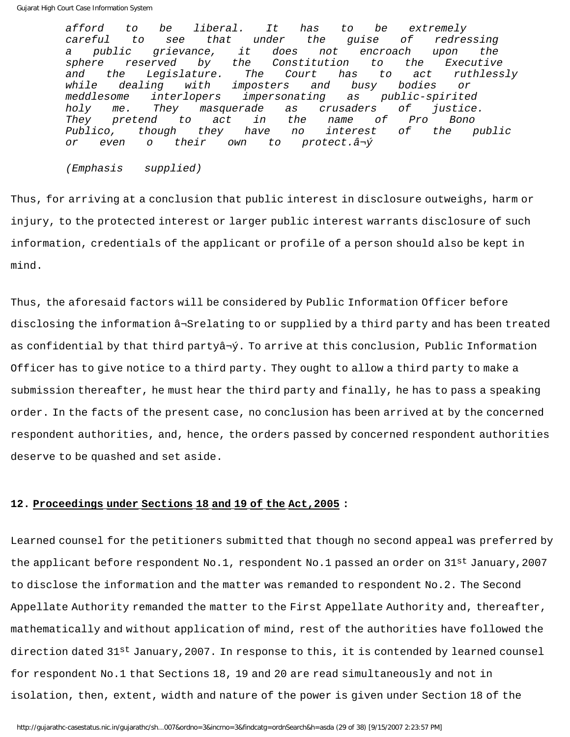afford to be liberal. It has to be extremely careful to see that under the guise of redressing a public grievance, it does not encroach upon the sphere reserved by the Constitution to the Executive and the Legislature. The Court has to act ruthlessly while dealing with imposters and busy bodies or meddlesome interlopers impersonating as public-spirited holy me. They masquerade as crusaders of justice. They pretend to act in the name of Pro Bono Publico, though they have no interest of the public or even o their own to protect.â¬ý

(Emphasis supplied)

Thus, for arriving at a conclusion that public interest in disclosure outweighs, harm or injury, to the protected interest or larger public interest warrants disclosure of such information, credentials of the applicant or profile of a person should also be kept in mind.

Thus, the aforesaid factors will be considered by Public Information Officer before disclosing the information â¬Srelating to or supplied by a third party and has been treated as confidential by that third partyâ¬ý. To arrive at this conclusion, Public Information Officer has to give notice to a third party. They ought to allow a third party to make a submission thereafter, he must hear the third party and finally, he has to pass a speaking order. In the facts of the present case, no conclusion has been arrived at by the concerned respondent authorities, and, hence, the orders passed by concerned respondent authorities deserve to be quashed and set aside.

## **12. Proceedings under Sections 18 and 19 of the Act,2005 :**

Learned counsel for the petitioners submitted that though no second appeal was preferred by the applicant before respondent No.1, respondent No.1 passed an order on 31st January, 2007 to disclose the information and the matter was remanded to respondent No.2. The Second Appellate Authority remanded the matter to the First Appellate Authority and, thereafter, mathematically and without application of mind, rest of the authorities have followed the direction dated 31<sup>st</sup> January, 2007. In response to this, it is contended by learned counsel for respondent No.1 that Sections 18, 19 and 20 are read simultaneously and not in isolation, then, extent, width and nature of the power is given under Section 18 of the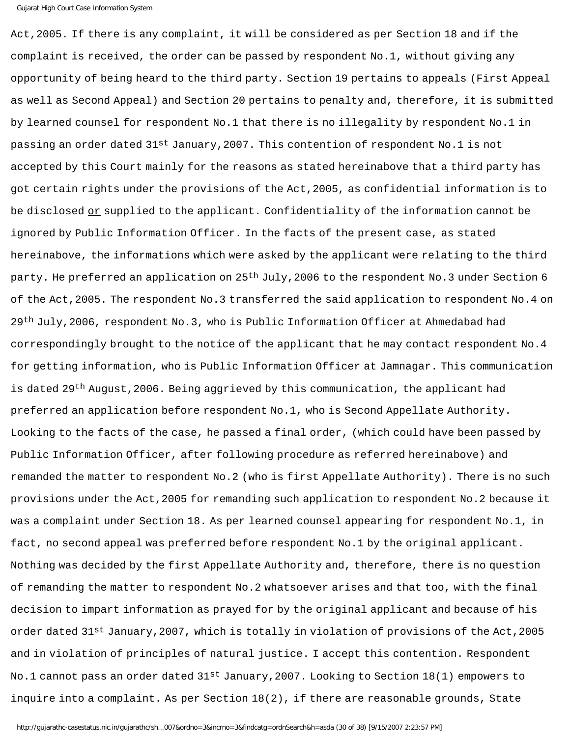Act,2005. If there is any complaint, it will be considered as per Section 18 and if the complaint is received, the order can be passed by respondent No.1, without giving any opportunity of being heard to the third party. Section 19 pertains to appeals (First Appeal as well as Second Appeal) and Section 20 pertains to penalty and, therefore, it is submitted by learned counsel for respondent No.1 that there is no illegality by respondent No.1 in passing an order dated 31st January,2007. This contention of respondent No.1 is not accepted by this Court mainly for the reasons as stated hereinabove that a third party has got certain rights under the provisions of the Act,2005, as confidential information is to be disclosed or supplied to the applicant. Confidentiality of the information cannot be ignored by Public Information Officer. In the facts of the present case, as stated hereinabove, the informations which were asked by the applicant were relating to the third party. He preferred an application on 25<sup>th</sup> July, 2006 to the respondent No.3 under Section 6 of the Act,2005. The respondent No.3 transferred the said application to respondent No.4 on 29<sup>th</sup> July,2006, respondent No.3, who is Public Information Officer at Ahmedabad had correspondingly brought to the notice of the applicant that he may contact respondent No.4 for getting information, who is Public Information Officer at Jamnagar. This communication is dated 29<sup>th</sup> August, 2006. Being aggrieved by this communication, the applicant had preferred an application before respondent No.1, who is Second Appellate Authority. Looking to the facts of the case, he passed a final order, (which could have been passed by Public Information Officer, after following procedure as referred hereinabove) and remanded the matter to respondent No.2 (who is first Appellate Authority). There is no such provisions under the Act,2005 for remanding such application to respondent No.2 because it was a complaint under Section 18. As per learned counsel appearing for respondent No.1, in fact, no second appeal was preferred before respondent No.1 by the original applicant. Nothing was decided by the first Appellate Authority and, therefore, there is no question of remanding the matter to respondent No.2 whatsoever arises and that too, with the final decision to impart information as prayed for by the original applicant and because of his order dated 31st January,2007, which is totally in violation of provisions of the Act,2005 and in violation of principles of natural justice. I accept this contention. Respondent No.1 cannot pass an order dated 31st January, 2007. Looking to Section 18(1) empowers to inquire into a complaint. As per Section 18(2), if there are reasonable grounds, State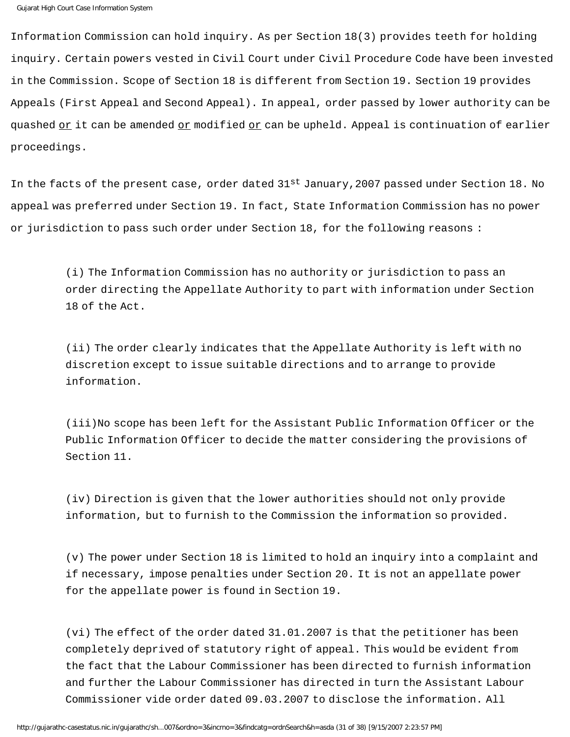Information Commission can hold inquiry. As per Section 18(3) provides teeth for holding inquiry. Certain powers vested in Civil Court under Civil Procedure Code have been invested in the Commission. Scope of Section 18 is different from Section 19. Section 19 provides Appeals (First Appeal and Second Appeal). In appeal, order passed by lower authority can be quashed or it can be amended or modified or can be upheld. Appeal is continuation of earlier proceedings.

In the facts of the present case, order dated 31<sup>st</sup> January, 2007 passed under Section 18. No appeal was preferred under Section 19. In fact, State Information Commission has no power or jurisdiction to pass such order under Section 18, for the following reasons :

> (i) The Information Commission has no authority or jurisdiction to pass an order directing the Appellate Authority to part with information under Section 18 of the Act.

(ii) The order clearly indicates that the Appellate Authority is left with no discretion except to issue suitable directions and to arrange to provide information.

(iii)No scope has been left for the Assistant Public Information Officer or the Public Information Officer to decide the matter considering the provisions of Section 11.

(iv) Direction is given that the lower authorities should not only provide information, but to furnish to the Commission the information so provided.

(v) The power under Section 18 is limited to hold an inquiry into a complaint and if necessary, impose penalties under Section 20. It is not an appellate power for the appellate power is found in Section 19.

(vi) The effect of the order dated 31.01.2007 is that the petitioner has been completely deprived of statutory right of appeal. This would be evident from the fact that the Labour Commissioner has been directed to furnish information and further the Labour Commissioner has directed in turn the Assistant Labour Commissioner vide order dated 09.03.2007 to disclose the information. All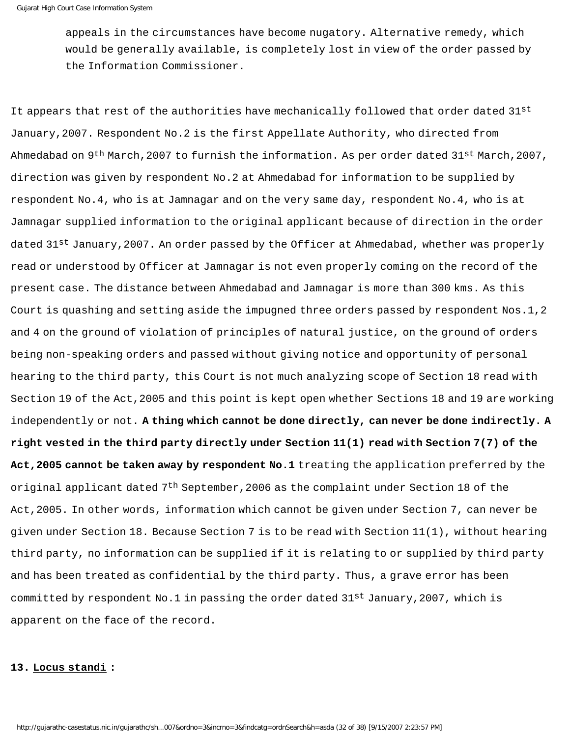appeals in the circumstances have become nugatory. Alternative remedy, which would be generally available, is completely lost in view of the order passed by the Information Commissioner.

It appears that rest of the authorities have mechanically followed that order dated 31st January,2007. Respondent No.2 is the first Appellate Authority, who directed from Ahmedabad on 9<sup>th</sup> March, 2007 to furnish the information. As per order dated 31st March, 2007, direction was given by respondent No.2 at Ahmedabad for information to be supplied by respondent No.4, who is at Jamnagar and on the very same day, respondent No.4, who is at Jamnagar supplied information to the original applicant because of direction in the order dated 31<sup>st</sup> January, 2007. An order passed by the Officer at Ahmedabad, whether was properly read or understood by Officer at Jamnagar is not even properly coming on the record of the present case. The distance between Ahmedabad and Jamnagar is more than 300 kms. As this Court is quashing and setting aside the impugned three orders passed by respondent Nos.1,2 and 4 on the ground of violation of principles of natural justice, on the ground of orders being non-speaking orders and passed without giving notice and opportunity of personal hearing to the third party, this Court is not much analyzing scope of Section 18 read with Section 19 of the Act,2005 and this point is kept open whether Sections 18 and 19 are working independently or not. **A thing which cannot be done directly, can never be done indirectly. A right vested in the third party directly under Section 11(1) read with Section 7(7) of the Act,2005 cannot be taken away by respondent No.1** treating the application preferred by the original applicant dated  $7<sup>th</sup>$  September, 2006 as the complaint under Section 18 of the Act,2005. In other words, information which cannot be given under Section 7, can never be given under Section 18. Because Section 7 is to be read with Section 11(1), without hearing third party, no information can be supplied if it is relating to or supplied by third party and has been treated as confidential by the third party. Thus, a grave error has been committed by respondent No.1 in passing the order dated 31st January, 2007, which is apparent on the face of the record.

#### **13. Locus standi :**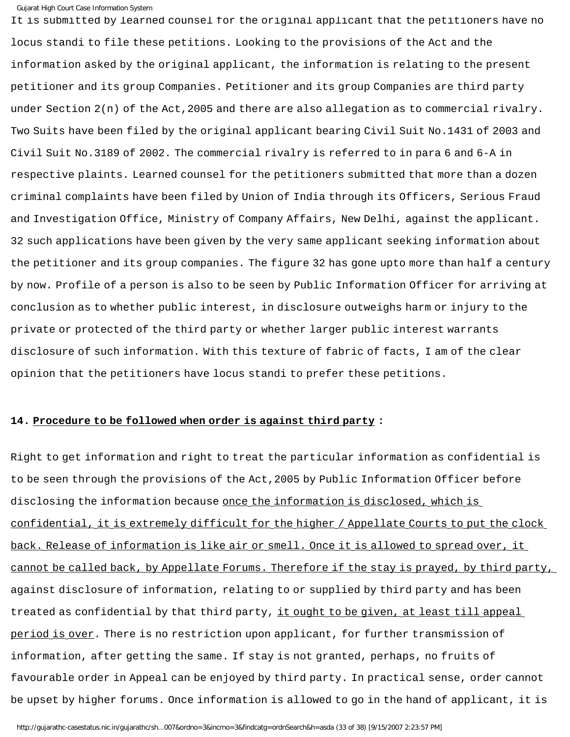It is submitted by learned counsel for the original applicant that the petitioners have no locus standi to file these petitions. Looking to the provisions of the Act and the information asked by the original applicant, the information is relating to the present petitioner and its group Companies. Petitioner and its group Companies are third party under Section 2(n) of the Act,2005 and there are also allegation as to commercial rivalry. Two Suits have been filed by the original applicant bearing Civil Suit No.1431 of 2003 and Civil Suit No.3189 of 2002. The commercial rivalry is referred to in para 6 and 6-A in respective plaints. Learned counsel for the petitioners submitted that more than a dozen criminal complaints have been filed by Union of India through its Officers, Serious Fraud and Investigation Office, Ministry of Company Affairs, New Delhi, against the applicant. 32 such applications have been given by the very same applicant seeking information about the petitioner and its group companies. The figure 32 has gone upto more than half a century by now. Profile of a person is also to be seen by Public Information Officer for arriving at conclusion as to whether public interest, in disclosure outweighs harm or injury to the private or protected of the third party or whether larger public interest warrants disclosure of such information. With this texture of fabric of facts, I am of the clear opinion that the petitioners have locus standi to prefer these petitions.

## **14. Procedure to be followed when order is against third party :**

Right to get information and right to treat the particular information as confidential is to be seen through the provisions of the Act,2005 by Public Information Officer before disclosing the information because once the information is disclosed, which is confidential, it is extremely difficult for the higher / Appellate Courts to put the clock back. Release of information is like air or smell. Once it is allowed to spread over, it cannot be called back, by Appellate Forums. Therefore if the stay is prayed, by third party, against disclosure of information, relating to or supplied by third party and has been treated as confidential by that third party, it ought to be given, at least till appeal period is over. There is no restriction upon applicant, for further transmission of information, after getting the same. If stay is not granted, perhaps, no fruits of favourable order in Appeal can be enjoyed by third party. In practical sense, order cannot be upset by higher forums. Once information is allowed to go in the hand of applicant, it is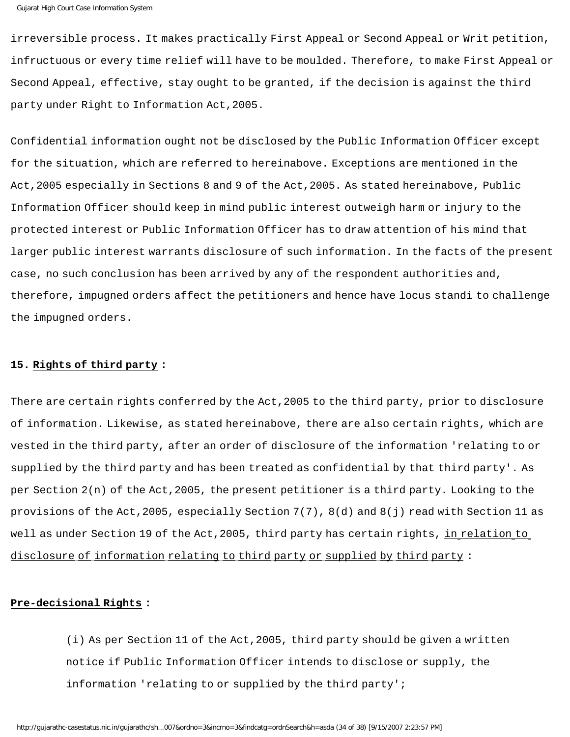irreversible process. It makes practically First Appeal or Second Appeal or Writ petition, infructuous or every time relief will have to be moulded. Therefore, to make First Appeal or Second Appeal, effective, stay ought to be granted, if the decision is against the third party under Right to Information Act,2005.

Confidential information ought not be disclosed by the Public Information Officer except for the situation, which are referred to hereinabove. Exceptions are mentioned in the Act,2005 especially in Sections 8 and 9 of the Act,2005. As stated hereinabove, Public Information Officer should keep in mind public interest outweigh harm or injury to the protected interest or Public Information Officer has to draw attention of his mind that larger public interest warrants disclosure of such information. In the facts of the present case, no such conclusion has been arrived by any of the respondent authorities and, therefore, impugned orders affect the petitioners and hence have locus standi to challenge the impugned orders.

## **15. Rights of third party :**

There are certain rights conferred by the Act,2005 to the third party, prior to disclosure of information. Likewise, as stated hereinabove, there are also certain rights, which are vested in the third party, after an order of disclosure of the information 'relating to or supplied by the third party and has been treated as confidential by that third party'. As per Section 2(n) of the Act,2005, the present petitioner is a third party. Looking to the provisions of the Act,2005, especially Section 7(7), 8(d) and 8(j) read with Section 11 as well as under Section 19 of the Act, 2005, third party has certain rights, in relation to disclosure of information relating to third party or supplied by third party :

## **Pre-decisional Rights :**

(i) As per Section 11 of the Act,2005, third party should be given a written notice if Public Information Officer intends to disclose or supply, the information 'relating to or supplied by the third party';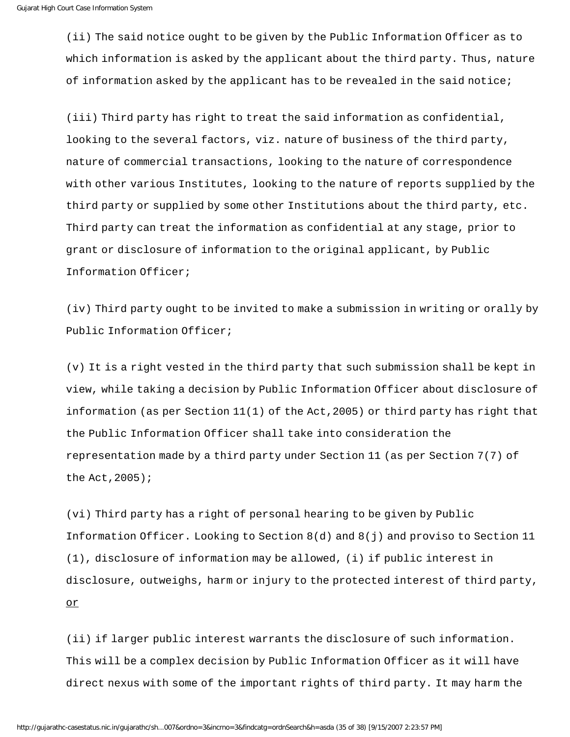(ii) The said notice ought to be given by the Public Information Officer as to which information is asked by the applicant about the third party. Thus, nature of information asked by the applicant has to be revealed in the said notice;

(iii) Third party has right to treat the said information as confidential, looking to the several factors, viz. nature of business of the third party, nature of commercial transactions, looking to the nature of correspondence with other various Institutes, looking to the nature of reports supplied by the third party or supplied by some other Institutions about the third party, etc. Third party can treat the information as confidential at any stage, prior to grant or disclosure of information to the original applicant, by Public Information Officer;

(iv) Third party ought to be invited to make a submission in writing or orally by Public Information Officer;

(v) It is a right vested in the third party that such submission shall be kept in view, while taking a decision by Public Information Officer about disclosure of information (as per Section 11(1) of the Act,2005) or third party has right that the Public Information Officer shall take into consideration the representation made by a third party under Section 11 (as per Section 7(7) of the Act,2005);

(vi) Third party has a right of personal hearing to be given by Public Information Officer. Looking to Section 8(d) and 8(j) and proviso to Section 11 (1), disclosure of information may be allowed, (i) if public interest in disclosure, outweighs, harm or injury to the protected interest of third party, or

(ii) if larger public interest warrants the disclosure of such information. This will be a complex decision by Public Information Officer as it will have direct nexus with some of the important rights of third party. It may harm the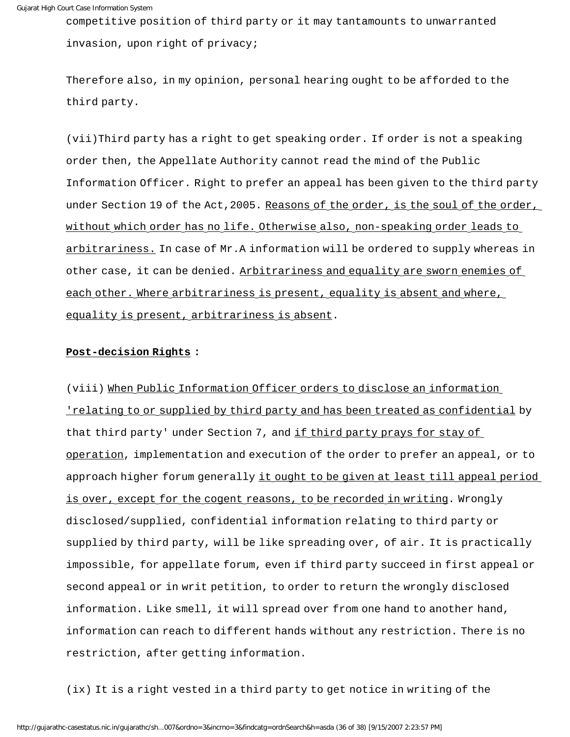competitive position of third party or it may tantamounts to unwarranted invasion, upon right of privacy;

Therefore also, in my opinion, personal hearing ought to be afforded to the third party.

(vii)Third party has a right to get speaking order. If order is not a speaking order then, the Appellate Authority cannot read the mind of the Public Information Officer. Right to prefer an appeal has been given to the third party under Section 19 of the Act, 2005. Reasons of the order, is the soul of the order, without which order has no life. Otherwise also, non-speaking order leads to arbitrariness. In case of Mr.A information will be ordered to supply whereas in other case, it can be denied. Arbitrariness and equality are sworn enemies of each other. Where arbitrariness is present, equality is absent and where, equality is present, arbitrariness is absent.

## **Post-decision Rights :**

(viii) When Public Information Officer orders to disclose an information 'relating to or supplied by third party and has been treated as confidential by that third party' under Section 7, and if third party prays for stay of operation, implementation and execution of the order to prefer an appeal, or to approach higher forum generally it ought to be given at least till appeal period is over, except for the cogent reasons, to be recorded in writing. Wrongly disclosed/supplied, confidential information relating to third party or supplied by third party, will be like spreading over, of air. It is practically impossible, for appellate forum, even if third party succeed in first appeal or second appeal or in writ petition, to order to return the wrongly disclosed information. Like smell, it will spread over from one hand to another hand, information can reach to different hands without any restriction. There is no restriction, after getting information.

(ix) It is a right vested in a third party to get notice in writing of the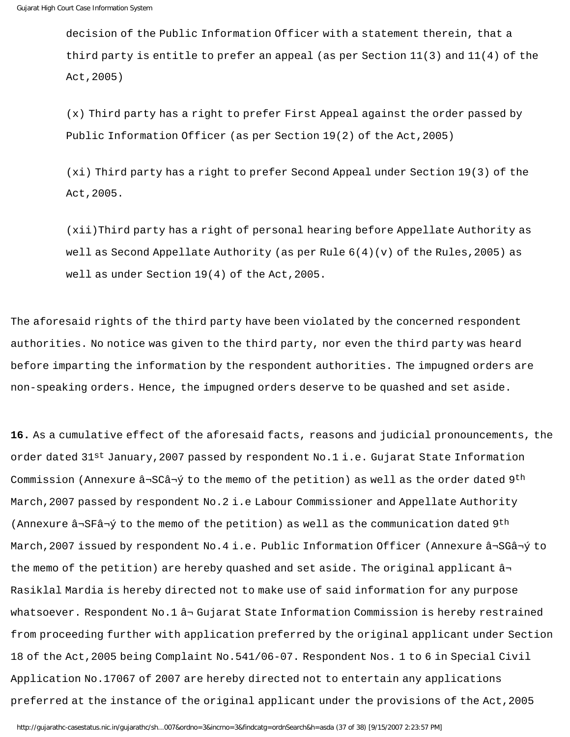decision of the Public Information Officer with a statement therein, that a third party is entitle to prefer an appeal (as per Section 11(3) and 11(4) of the Act,2005)

(x) Third party has a right to prefer First Appeal against the order passed by Public Information Officer (as per Section 19(2) of the Act,2005)

(xi) Third party has a right to prefer Second Appeal under Section 19(3) of the Act,2005.

(xii)Third party has a right of personal hearing before Appellate Authority as well as Second Appellate Authority (as per Rule  $6(4)(v)$  of the Rules, 2005) as well as under Section 19(4) of the Act,2005.

The aforesaid rights of the third party have been violated by the concerned respondent authorities. No notice was given to the third party, nor even the third party was heard before imparting the information by the respondent authorities. The impugned orders are non-speaking orders. Hence, the impugned orders deserve to be quashed and set aside.

**16.** As a cumulative effect of the aforesaid facts, reasons and judicial pronouncements, the order dated 31st January, 2007 passed by respondent No.1 i.e. Gujarat State Information Commission (Annexure  $\hat{a}$ ¬SC $\hat{a}$ ¬ $\hat{y}$  to the memo of the petition) as well as the order dated 9<sup>th</sup> March,2007 passed by respondent No.2 i.e Labour Commissioner and Appellate Authority (Annexure  $\hat{a}$ ¬SF $\hat{a}$ ¬ $\hat{y}$  to the memo of the petition) as well as the communication dated 9<sup>th</sup> March,2007 issued by respondent No.4 i.e. Public Information Officer (Annexure â¬SGâ¬ý to the memo of the petition) are hereby quashed and set aside. The original applicant  $\hat{a}$ Rasiklal Mardia is hereby directed not to make use of said information for any purpose whatsoever. Respondent No.1 ⬠Gujarat State Information Commission is hereby restrained from proceeding further with application preferred by the original applicant under Section 18 of the Act,2005 being Complaint No.541/06-07. Respondent Nos. 1 to 6 in Special Civil Application No.17067 of 2007 are hereby directed not to entertain any applications preferred at the instance of the original applicant under the provisions of the Act,2005